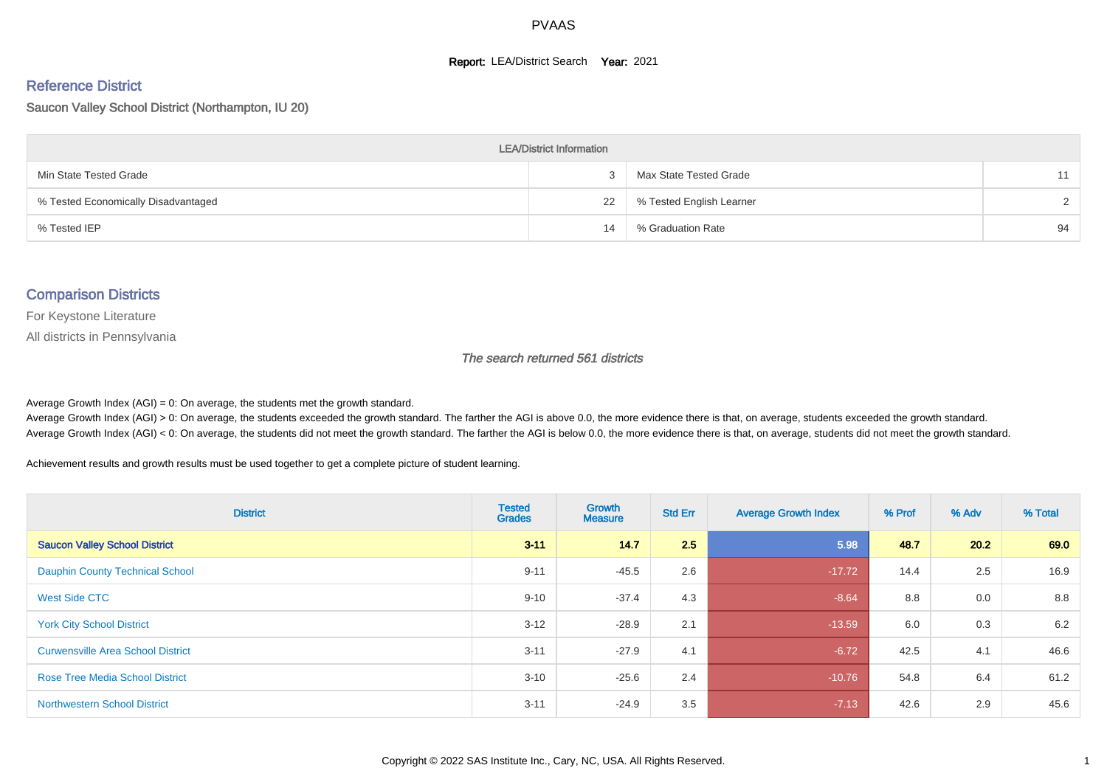#### **Report: LEA/District Search Year: 2021**

#### Reference District

Saucon Valley School District (Northampton, IU 20)

| <b>LEA/District Information</b>     |    |                          |               |  |  |  |  |  |  |  |
|-------------------------------------|----|--------------------------|---------------|--|--|--|--|--|--|--|
| Min State Tested Grade              |    | Max State Tested Grade   | 11            |  |  |  |  |  |  |  |
| % Tested Economically Disadvantaged | 22 | % Tested English Learner | $\mathcal{D}$ |  |  |  |  |  |  |  |
| % Tested IEP                        | 14 | % Graduation Rate        | 94            |  |  |  |  |  |  |  |

#### Comparison Districts

For Keystone Literature

All districts in Pennsylvania

The search returned 561 districts

Average Growth Index  $(AGI) = 0$ : On average, the students met the growth standard.

Average Growth Index (AGI) > 0: On average, the students exceeded the growth standard. The farther the AGI is above 0.0, the more evidence there is that, on average, students exceeded the growth standard. Average Growth Index (AGI) < 0: On average, the students did not meet the growth standard. The farther the AGI is below 0.0, the more evidence there is that, on average, students did not meet the growth standard.

Achievement results and growth results must be used together to get a complete picture of student learning.

| <b>District</b>                          | <b>Tested</b><br><b>Grades</b> | <b>Growth</b><br><b>Measure</b> | <b>Std Err</b> | <b>Average Growth Index</b> | % Prof | % Adv | % Total |
|------------------------------------------|--------------------------------|---------------------------------|----------------|-----------------------------|--------|-------|---------|
| <b>Saucon Valley School District</b>     | $3 - 11$                       | 14.7                            | 2.5            | 5.98                        | 48.7   | 20.2  | 69.0    |
| <b>Dauphin County Technical School</b>   | $9 - 11$                       | $-45.5$                         | 2.6            | $-17.72$                    | 14.4   | 2.5   | 16.9    |
| <b>West Side CTC</b>                     | $9 - 10$                       | $-37.4$                         | 4.3            | $-8.64$                     | 8.8    | 0.0   | 8.8     |
| <b>York City School District</b>         | $3 - 12$                       | $-28.9$                         | 2.1            | $-13.59$                    | 6.0    | 0.3   | 6.2     |
| <b>Curwensville Area School District</b> | $3 - 11$                       | $-27.9$                         | 4.1            | $-6.72$                     | 42.5   | 4.1   | 46.6    |
| <b>Rose Tree Media School District</b>   | $3 - 10$                       | $-25.6$                         | 2.4            | $-10.76$                    | 54.8   | 6.4   | 61.2    |
| <b>Northwestern School District</b>      | $3 - 11$                       | $-24.9$                         | 3.5            | $-7.13$                     | 42.6   | 2.9   | 45.6    |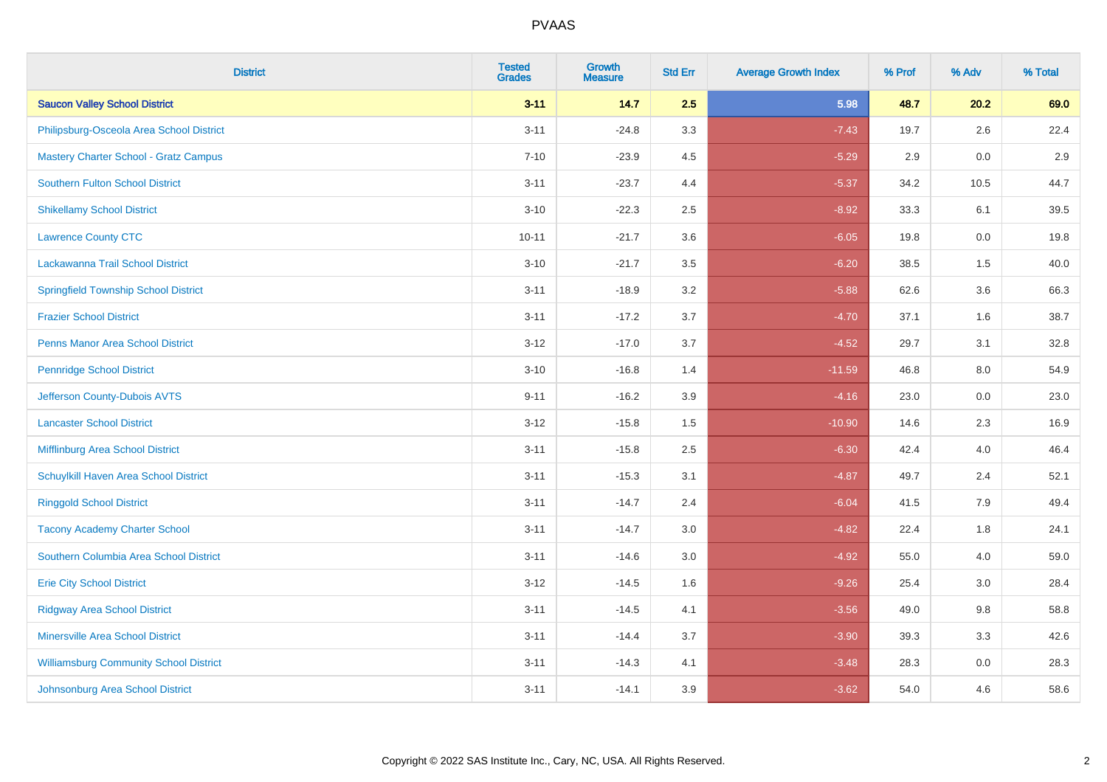| <b>District</b>                               | <b>Tested</b><br><b>Grades</b> | <b>Growth</b><br><b>Measure</b> | <b>Std Err</b> | <b>Average Growth Index</b> | % Prof | % Adv   | % Total |
|-----------------------------------------------|--------------------------------|---------------------------------|----------------|-----------------------------|--------|---------|---------|
| <b>Saucon Valley School District</b>          | $3 - 11$                       | 14.7                            | 2.5            | 5.98                        | 48.7   | 20.2    | 69.0    |
| Philipsburg-Osceola Area School District      | $3 - 11$                       | $-24.8$                         | 3.3            | $-7.43$                     | 19.7   | $2.6\,$ | 22.4    |
| <b>Mastery Charter School - Gratz Campus</b>  | $7 - 10$                       | $-23.9$                         | 4.5            | $-5.29$                     | 2.9    | 0.0     | 2.9     |
| <b>Southern Fulton School District</b>        | $3 - 11$                       | $-23.7$                         | 4.4            | $-5.37$                     | 34.2   | 10.5    | 44.7    |
| <b>Shikellamy School District</b>             | $3 - 10$                       | $-22.3$                         | 2.5            | $-8.92$                     | 33.3   | 6.1     | 39.5    |
| <b>Lawrence County CTC</b>                    | $10 - 11$                      | $-21.7$                         | 3.6            | $-6.05$                     | 19.8   | 0.0     | 19.8    |
| Lackawanna Trail School District              | $3 - 10$                       | $-21.7$                         | 3.5            | $-6.20$                     | 38.5   | 1.5     | 40.0    |
| <b>Springfield Township School District</b>   | $3 - 11$                       | $-18.9$                         | 3.2            | $-5.88$                     | 62.6   | 3.6     | 66.3    |
| <b>Frazier School District</b>                | $3 - 11$                       | $-17.2$                         | 3.7            | $-4.70$                     | 37.1   | 1.6     | 38.7    |
| <b>Penns Manor Area School District</b>       | $3 - 12$                       | $-17.0$                         | 3.7            | $-4.52$                     | 29.7   | 3.1     | 32.8    |
| <b>Pennridge School District</b>              | $3 - 10$                       | $-16.8$                         | 1.4            | $-11.59$                    | 46.8   | 8.0     | 54.9    |
| Jefferson County-Dubois AVTS                  | $9 - 11$                       | $-16.2$                         | 3.9            | $-4.16$                     | 23.0   | 0.0     | 23.0    |
| <b>Lancaster School District</b>              | $3 - 12$                       | $-15.8$                         | $1.5$          | $-10.90$                    | 14.6   | $2.3\,$ | 16.9    |
| <b>Mifflinburg Area School District</b>       | $3 - 11$                       | $-15.8$                         | 2.5            | $-6.30$                     | 42.4   | 4.0     | 46.4    |
| Schuylkill Haven Area School District         | $3 - 11$                       | $-15.3$                         | 3.1            | $-4.87$                     | 49.7   | 2.4     | 52.1    |
| <b>Ringgold School District</b>               | $3 - 11$                       | $-14.7$                         | 2.4            | $-6.04$                     | 41.5   | 7.9     | 49.4    |
| <b>Tacony Academy Charter School</b>          | $3 - 11$                       | $-14.7$                         | 3.0            | $-4.82$                     | 22.4   | 1.8     | 24.1    |
| Southern Columbia Area School District        | $3 - 11$                       | $-14.6$                         | 3.0            | $-4.92$                     | 55.0   | 4.0     | 59.0    |
| <b>Erie City School District</b>              | $3 - 12$                       | $-14.5$                         | 1.6            | $-9.26$                     | 25.4   | 3.0     | 28.4    |
| <b>Ridgway Area School District</b>           | $3 - 11$                       | $-14.5$                         | 4.1            | $-3.56$                     | 49.0   | 9.8     | 58.8    |
| <b>Minersville Area School District</b>       | $3 - 11$                       | $-14.4$                         | 3.7            | $-3.90$                     | 39.3   | 3.3     | 42.6    |
| <b>Williamsburg Community School District</b> | $3 - 11$                       | $-14.3$                         | 4.1            | $-3.48$                     | 28.3   | 0.0     | 28.3    |
| Johnsonburg Area School District              | $3 - 11$                       | $-14.1$                         | 3.9            | $-3.62$                     | 54.0   | 4.6     | 58.6    |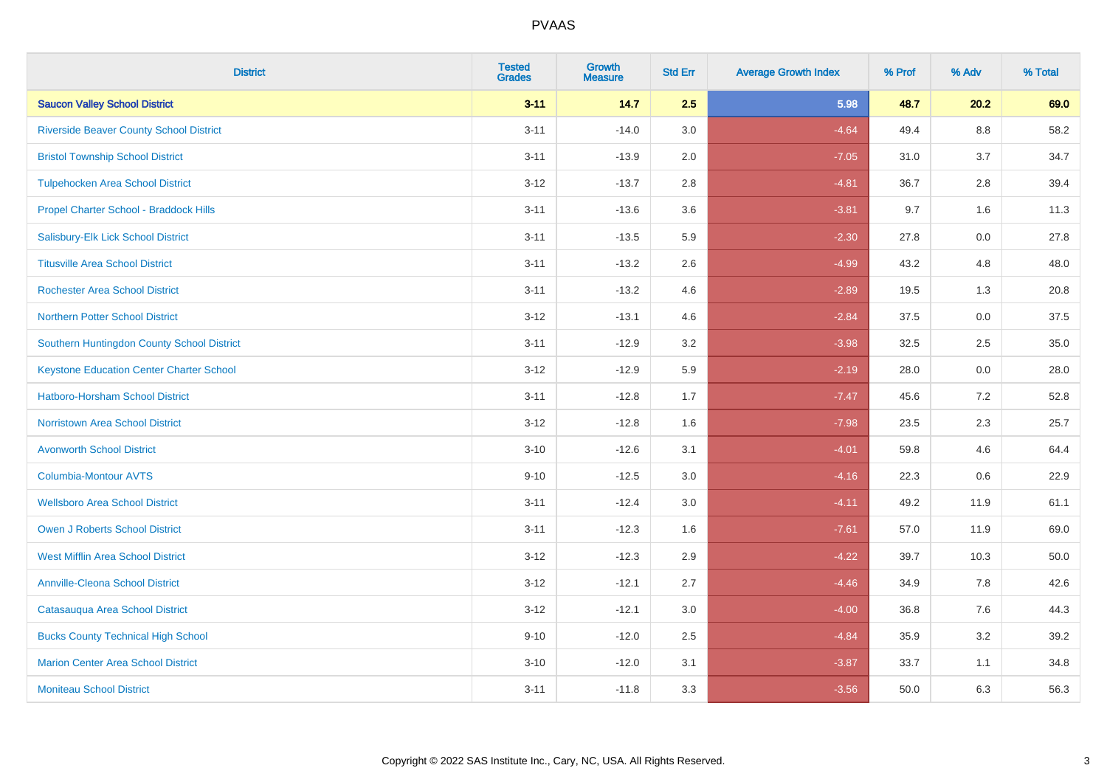| <b>District</b>                                 | <b>Tested</b><br><b>Grades</b> | <b>Growth</b><br><b>Measure</b> | <b>Std Err</b> | <b>Average Growth Index</b> | % Prof | % Adv   | % Total |
|-------------------------------------------------|--------------------------------|---------------------------------|----------------|-----------------------------|--------|---------|---------|
| <b>Saucon Valley School District</b>            | $3 - 11$                       | 14.7                            | 2.5            | 5.98                        | 48.7   | 20.2    | 69.0    |
| <b>Riverside Beaver County School District</b>  | $3 - 11$                       | $-14.0$                         | 3.0            | $-4.64$                     | 49.4   | $8.8\,$ | 58.2    |
| <b>Bristol Township School District</b>         | $3 - 11$                       | $-13.9$                         | 2.0            | $-7.05$                     | 31.0   | 3.7     | 34.7    |
| <b>Tulpehocken Area School District</b>         | $3 - 12$                       | $-13.7$                         | 2.8            | $-4.81$                     | 36.7   | 2.8     | 39.4    |
| Propel Charter School - Braddock Hills          | $3 - 11$                       | $-13.6$                         | 3.6            | $-3.81$                     | 9.7    | 1.6     | 11.3    |
| Salisbury-Elk Lick School District              | $3 - 11$                       | $-13.5$                         | 5.9            | $-2.30$                     | 27.8   | 0.0     | 27.8    |
| <b>Titusville Area School District</b>          | $3 - 11$                       | $-13.2$                         | 2.6            | $-4.99$                     | 43.2   | 4.8     | 48.0    |
| <b>Rochester Area School District</b>           | $3 - 11$                       | $-13.2$                         | 4.6            | $-2.89$                     | 19.5   | 1.3     | 20.8    |
| <b>Northern Potter School District</b>          | $3 - 12$                       | $-13.1$                         | 4.6            | $-2.84$                     | 37.5   | 0.0     | 37.5    |
| Southern Huntingdon County School District      | $3 - 11$                       | $-12.9$                         | 3.2            | $-3.98$                     | 32.5   | $2.5\,$ | 35.0    |
| <b>Keystone Education Center Charter School</b> | $3 - 12$                       | $-12.9$                         | 5.9            | $-2.19$                     | 28.0   | 0.0     | 28.0    |
| <b>Hatboro-Horsham School District</b>          | $3 - 11$                       | $-12.8$                         | 1.7            | $-7.47$                     | 45.6   | 7.2     | 52.8    |
| <b>Norristown Area School District</b>          | $3 - 12$                       | $-12.8$                         | 1.6            | $-7.98$                     | 23.5   | 2.3     | 25.7    |
| <b>Avonworth School District</b>                | $3 - 10$                       | $-12.6$                         | 3.1            | $-4.01$                     | 59.8   | 4.6     | 64.4    |
| Columbia-Montour AVTS                           | $9 - 10$                       | $-12.5$                         | 3.0            | $-4.16$                     | 22.3   | 0.6     | 22.9    |
| <b>Wellsboro Area School District</b>           | $3 - 11$                       | $-12.4$                         | 3.0            | $-4.11$                     | 49.2   | 11.9    | 61.1    |
| <b>Owen J Roberts School District</b>           | $3 - 11$                       | $-12.3$                         | 1.6            | $-7.61$                     | 57.0   | 11.9    | 69.0    |
| <b>West Mifflin Area School District</b>        | $3 - 12$                       | $-12.3$                         | 2.9            | $-4.22$                     | 39.7   | 10.3    | 50.0    |
| <b>Annville-Cleona School District</b>          | $3 - 12$                       | $-12.1$                         | 2.7            | $-4.46$                     | 34.9   | 7.8     | 42.6    |
| Catasauqua Area School District                 | $3 - 12$                       | $-12.1$                         | 3.0            | $-4.00$                     | 36.8   | 7.6     | 44.3    |
| <b>Bucks County Technical High School</b>       | $9 - 10$                       | $-12.0$                         | 2.5            | $-4.84$                     | 35.9   | 3.2     | 39.2    |
| <b>Marion Center Area School District</b>       | $3 - 10$                       | $-12.0$                         | 3.1            | $-3.87$                     | 33.7   | 1.1     | 34.8    |
| <b>Moniteau School District</b>                 | $3 - 11$                       | $-11.8$                         | 3.3            | $-3.56$                     | 50.0   | 6.3     | 56.3    |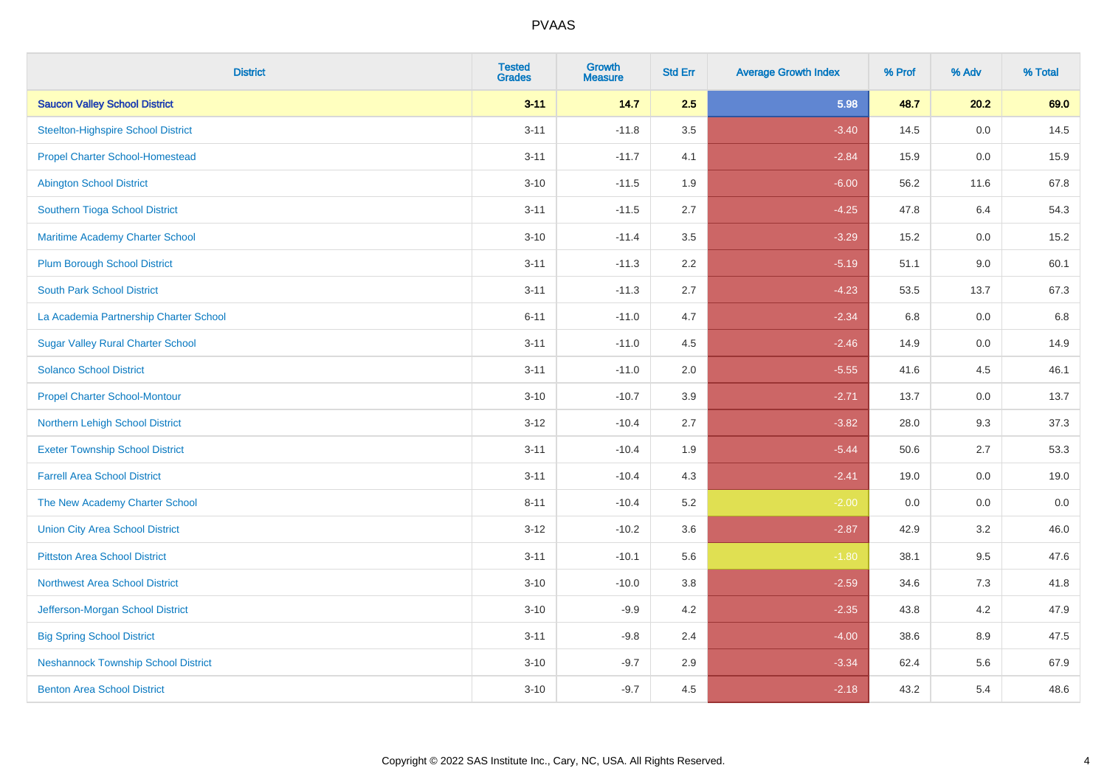| <b>District</b>                            | <b>Tested</b><br><b>Grades</b> | <b>Growth</b><br><b>Measure</b> | <b>Std Err</b> | <b>Average Growth Index</b> | % Prof | % Adv   | % Total |
|--------------------------------------------|--------------------------------|---------------------------------|----------------|-----------------------------|--------|---------|---------|
| <b>Saucon Valley School District</b>       | $3 - 11$                       | 14.7                            | 2.5            | 5.98                        | 48.7   | 20.2    | 69.0    |
| <b>Steelton-Highspire School District</b>  | $3 - 11$                       | $-11.8$                         | 3.5            | $-3.40$                     | 14.5   | $0.0\,$ | 14.5    |
| <b>Propel Charter School-Homestead</b>     | $3 - 11$                       | $-11.7$                         | 4.1            | $-2.84$                     | 15.9   | 0.0     | 15.9    |
| <b>Abington School District</b>            | $3 - 10$                       | $-11.5$                         | 1.9            | $-6.00$                     | 56.2   | 11.6    | 67.8    |
| Southern Tioga School District             | $3 - 11$                       | $-11.5$                         | 2.7            | $-4.25$                     | 47.8   | 6.4     | 54.3    |
| Maritime Academy Charter School            | $3 - 10$                       | $-11.4$                         | 3.5            | $-3.29$                     | 15.2   | 0.0     | 15.2    |
| <b>Plum Borough School District</b>        | $3 - 11$                       | $-11.3$                         | 2.2            | $-5.19$                     | 51.1   | 9.0     | 60.1    |
| <b>South Park School District</b>          | $3 - 11$                       | $-11.3$                         | 2.7            | $-4.23$                     | 53.5   | 13.7    | 67.3    |
| La Academia Partnership Charter School     | $6 - 11$                       | $-11.0$                         | 4.7            | $-2.34$                     | 6.8    | 0.0     | 6.8     |
| <b>Sugar Valley Rural Charter School</b>   | $3 - 11$                       | $-11.0$                         | 4.5            | $-2.46$                     | 14.9   | 0.0     | 14.9    |
| <b>Solanco School District</b>             | $3 - 11$                       | $-11.0$                         | 2.0            | $-5.55$                     | 41.6   | 4.5     | 46.1    |
| <b>Propel Charter School-Montour</b>       | $3 - 10$                       | $-10.7$                         | 3.9            | $-2.71$                     | 13.7   | 0.0     | 13.7    |
| Northern Lehigh School District            | $3 - 12$                       | $-10.4$                         | 2.7            | $-3.82$                     | 28.0   | 9.3     | 37.3    |
| <b>Exeter Township School District</b>     | $3 - 11$                       | $-10.4$                         | 1.9            | $-5.44$                     | 50.6   | 2.7     | 53.3    |
| <b>Farrell Area School District</b>        | $3 - 11$                       | $-10.4$                         | 4.3            | $-2.41$                     | 19.0   | 0.0     | 19.0    |
| The New Academy Charter School             | $8 - 11$                       | $-10.4$                         | 5.2            | $-2.00$                     | 0.0    | 0.0     | 0.0     |
| <b>Union City Area School District</b>     | $3 - 12$                       | $-10.2$                         | 3.6            | $-2.87$                     | 42.9   | 3.2     | 46.0    |
| <b>Pittston Area School District</b>       | $3 - 11$                       | $-10.1$                         | 5.6            | $-1.80$                     | 38.1   | 9.5     | 47.6    |
| <b>Northwest Area School District</b>      | $3 - 10$                       | $-10.0$                         | 3.8            | $-2.59$                     | 34.6   | 7.3     | 41.8    |
| Jefferson-Morgan School District           | $3 - 10$                       | $-9.9$                          | 4.2            | $-2.35$                     | 43.8   | 4.2     | 47.9    |
| <b>Big Spring School District</b>          | $3 - 11$                       | $-9.8$                          | 2.4            | $-4.00$                     | 38.6   | 8.9     | 47.5    |
| <b>Neshannock Township School District</b> | $3 - 10$                       | $-9.7$                          | 2.9            | $-3.34$                     | 62.4   | 5.6     | 67.9    |
| <b>Benton Area School District</b>         | $3 - 10$                       | $-9.7$                          | 4.5            | $-2.18$                     | 43.2   | 5.4     | 48.6    |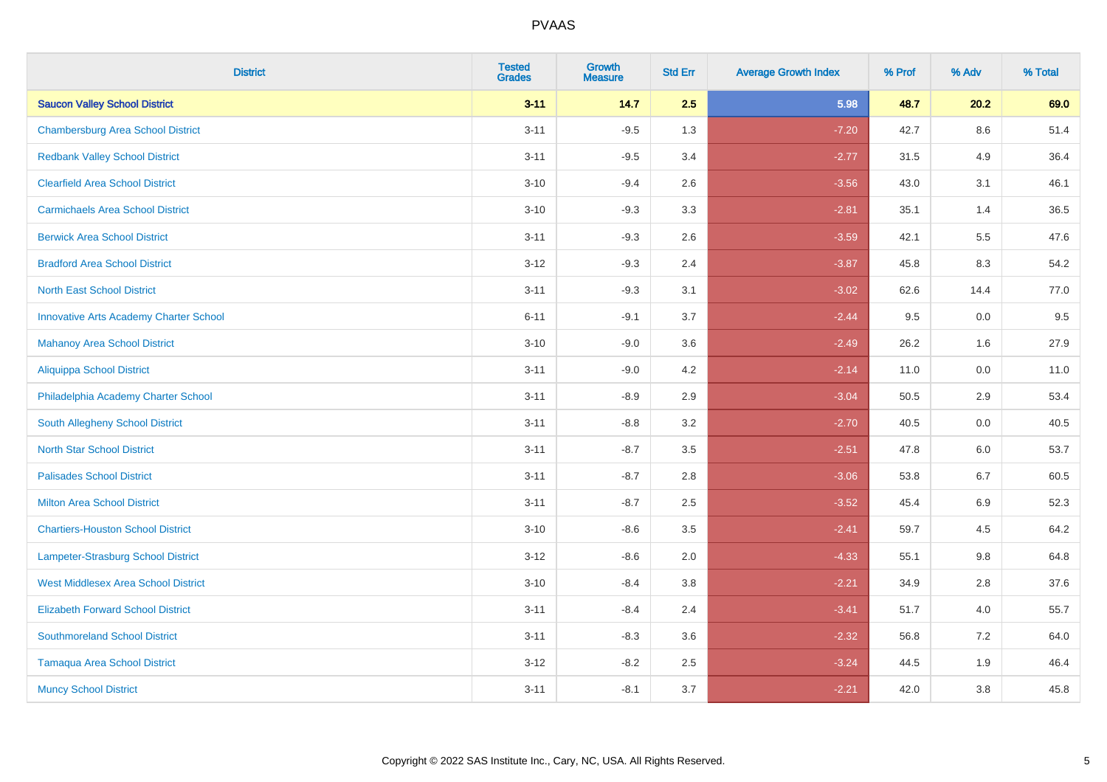| <b>District</b>                               | <b>Tested</b><br><b>Grades</b> | <b>Growth</b><br><b>Measure</b> | <b>Std Err</b> | <b>Average Growth Index</b> | % Prof | % Adv   | % Total |
|-----------------------------------------------|--------------------------------|---------------------------------|----------------|-----------------------------|--------|---------|---------|
| <b>Saucon Valley School District</b>          | $3 - 11$                       | 14.7                            | 2.5            | 5.98                        | 48.7   | 20.2    | 69.0    |
| <b>Chambersburg Area School District</b>      | $3 - 11$                       | $-9.5$                          | 1.3            | $-7.20$                     | 42.7   | $8.6\,$ | 51.4    |
| <b>Redbank Valley School District</b>         | $3 - 11$                       | $-9.5$                          | 3.4            | $-2.77$                     | 31.5   | 4.9     | 36.4    |
| <b>Clearfield Area School District</b>        | $3 - 10$                       | $-9.4$                          | 2.6            | $-3.56$                     | 43.0   | 3.1     | 46.1    |
| <b>Carmichaels Area School District</b>       | $3 - 10$                       | $-9.3$                          | 3.3            | $-2.81$                     | 35.1   | 1.4     | 36.5    |
| <b>Berwick Area School District</b>           | $3 - 11$                       | $-9.3$                          | 2.6            | $-3.59$                     | 42.1   | 5.5     | 47.6    |
| <b>Bradford Area School District</b>          | $3 - 12$                       | $-9.3$                          | 2.4            | $-3.87$                     | 45.8   | 8.3     | 54.2    |
| <b>North East School District</b>             | $3 - 11$                       | $-9.3$                          | 3.1            | $-3.02$                     | 62.6   | 14.4    | 77.0    |
| <b>Innovative Arts Academy Charter School</b> | $6 - 11$                       | $-9.1$                          | 3.7            | $-2.44$                     | 9.5    | 0.0     | 9.5     |
| <b>Mahanoy Area School District</b>           | $3 - 10$                       | $-9.0$                          | 3.6            | $-2.49$                     | 26.2   | 1.6     | 27.9    |
| <b>Aliquippa School District</b>              | $3 - 11$                       | $-9.0$                          | 4.2            | $-2.14$                     | 11.0   | 0.0     | 11.0    |
| Philadelphia Academy Charter School           | $3 - 11$                       | $-8.9$                          | 2.9            | $-3.04$                     | 50.5   | 2.9     | 53.4    |
| South Allegheny School District               | $3 - 11$                       | $-8.8$                          | 3.2            | $-2.70$                     | 40.5   | $0.0\,$ | 40.5    |
| <b>North Star School District</b>             | $3 - 11$                       | $-8.7$                          | 3.5            | $-2.51$                     | 47.8   | 6.0     | 53.7    |
| <b>Palisades School District</b>              | $3 - 11$                       | $-8.7$                          | 2.8            | $-3.06$                     | 53.8   | 6.7     | 60.5    |
| <b>Milton Area School District</b>            | $3 - 11$                       | $-8.7$                          | 2.5            | $-3.52$                     | 45.4   | $6.9\,$ | 52.3    |
| <b>Chartiers-Houston School District</b>      | $3 - 10$                       | $-8.6$                          | 3.5            | $-2.41$                     | 59.7   | 4.5     | 64.2    |
| <b>Lampeter-Strasburg School District</b>     | $3 - 12$                       | $-8.6$                          | 2.0            | $-4.33$                     | 55.1   | 9.8     | 64.8    |
| <b>West Middlesex Area School District</b>    | $3 - 10$                       | $-8.4$                          | 3.8            | $-2.21$                     | 34.9   | 2.8     | 37.6    |
| <b>Elizabeth Forward School District</b>      | $3 - 11$                       | $-8.4$                          | 2.4            | $-3.41$                     | 51.7   | 4.0     | 55.7    |
| <b>Southmoreland School District</b>          | $3 - 11$                       | $-8.3$                          | 3.6            | $-2.32$                     | 56.8   | 7.2     | 64.0    |
| <b>Tamaqua Area School District</b>           | $3 - 12$                       | $-8.2$                          | 2.5            | $-3.24$                     | 44.5   | 1.9     | 46.4    |
| <b>Muncy School District</b>                  | $3 - 11$                       | $-8.1$                          | 3.7            | $-2.21$                     | 42.0   | 3.8     | 45.8    |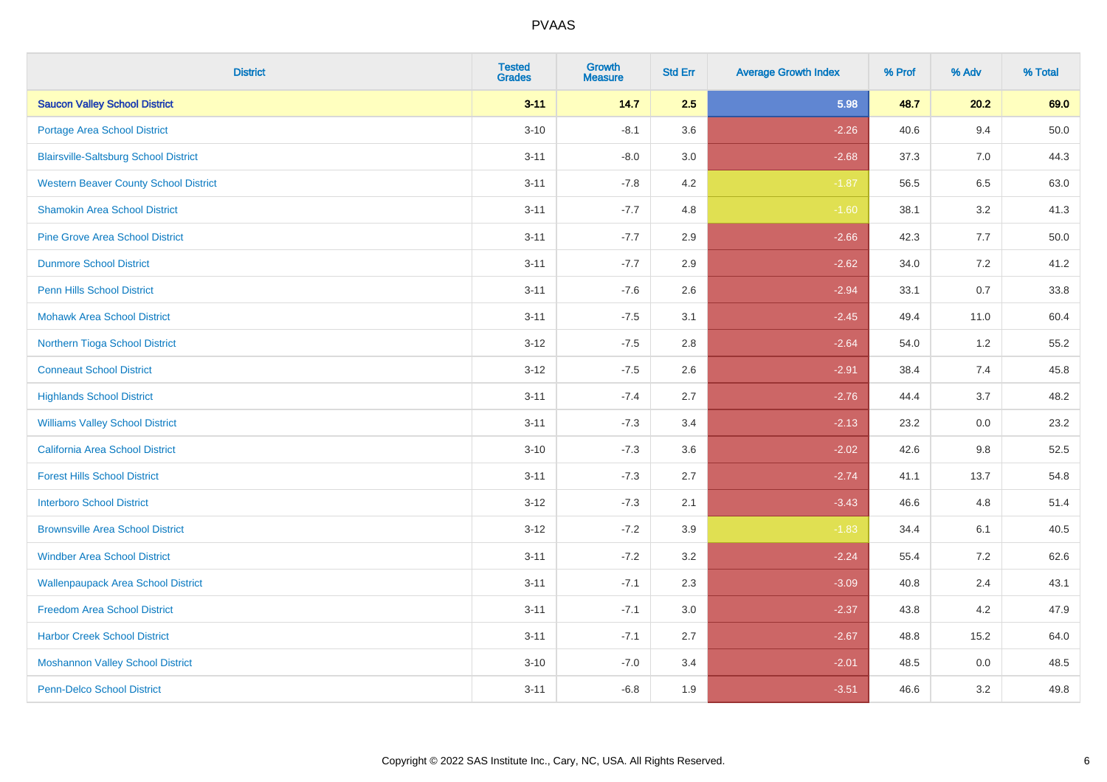| <b>District</b>                              | <b>Tested</b><br><b>Grades</b> | <b>Growth</b><br><b>Measure</b> | <b>Std Err</b> | <b>Average Growth Index</b> | % Prof | % Adv   | % Total  |
|----------------------------------------------|--------------------------------|---------------------------------|----------------|-----------------------------|--------|---------|----------|
| <b>Saucon Valley School District</b>         | $3 - 11$                       | 14.7                            | 2.5            | 5.98                        | 48.7   | 20.2    | 69.0     |
| Portage Area School District                 | $3 - 10$                       | $-8.1$                          | 3.6            | $-2.26$                     | 40.6   | 9.4     | $50.0\,$ |
| <b>Blairsville-Saltsburg School District</b> | $3 - 11$                       | $-8.0$                          | 3.0            | $-2.68$                     | 37.3   | 7.0     | 44.3     |
| <b>Western Beaver County School District</b> | $3 - 11$                       | $-7.8$                          | 4.2            | $-1.87$                     | 56.5   | 6.5     | 63.0     |
| <b>Shamokin Area School District</b>         | $3 - 11$                       | $-7.7$                          | 4.8            | $-1.60$                     | 38.1   | 3.2     | 41.3     |
| <b>Pine Grove Area School District</b>       | $3 - 11$                       | $-7.7$                          | 2.9            | $-2.66$                     | 42.3   | 7.7     | 50.0     |
| <b>Dunmore School District</b>               | $3 - 11$                       | $-7.7$                          | 2.9            | $-2.62$                     | 34.0   | 7.2     | 41.2     |
| <b>Penn Hills School District</b>            | $3 - 11$                       | $-7.6$                          | 2.6            | $-2.94$                     | 33.1   | 0.7     | 33.8     |
| <b>Mohawk Area School District</b>           | $3 - 11$                       | $-7.5$                          | 3.1            | $-2.45$                     | 49.4   | 11.0    | 60.4     |
| Northern Tioga School District               | $3 - 12$                       | $-7.5$                          | 2.8            | $-2.64$                     | 54.0   | 1.2     | 55.2     |
| <b>Conneaut School District</b>              | $3 - 12$                       | $-7.5$                          | 2.6            | $-2.91$                     | 38.4   | 7.4     | 45.8     |
| <b>Highlands School District</b>             | $3 - 11$                       | $-7.4$                          | 2.7            | $-2.76$                     | 44.4   | 3.7     | 48.2     |
| <b>Williams Valley School District</b>       | $3 - 11$                       | $-7.3$                          | 3.4            | $-2.13$                     | 23.2   | 0.0     | 23.2     |
| <b>California Area School District</b>       | $3 - 10$                       | $-7.3$                          | 3.6            | $-2.02$                     | 42.6   | 9.8     | 52.5     |
| <b>Forest Hills School District</b>          | $3 - 11$                       | $-7.3$                          | 2.7            | $-2.74$                     | 41.1   | 13.7    | 54.8     |
| <b>Interboro School District</b>             | $3 - 12$                       | $-7.3$                          | 2.1            | $-3.43$                     | 46.6   | 4.8     | 51.4     |
| <b>Brownsville Area School District</b>      | $3 - 12$                       | $-7.2$                          | 3.9            | $-1.83$                     | 34.4   | 6.1     | 40.5     |
| <b>Windber Area School District</b>          | $3 - 11$                       | $-7.2$                          | 3.2            | $-2.24$                     | 55.4   | 7.2     | 62.6     |
| <b>Wallenpaupack Area School District</b>    | $3 - 11$                       | $-7.1$                          | 2.3            | $-3.09$                     | 40.8   | 2.4     | 43.1     |
| <b>Freedom Area School District</b>          | $3 - 11$                       | $-7.1$                          | 3.0            | $-2.37$                     | 43.8   | 4.2     | 47.9     |
| <b>Harbor Creek School District</b>          | $3 - 11$                       | $-7.1$                          | 2.7            | $-2.67$                     | 48.8   | 15.2    | 64.0     |
| <b>Moshannon Valley School District</b>      | $3 - 10$                       | $-7.0$                          | 3.4            | $-2.01$                     | 48.5   | $0.0\,$ | 48.5     |
| <b>Penn-Delco School District</b>            | $3 - 11$                       | $-6.8$                          | 1.9            | $-3.51$                     | 46.6   | 3.2     | 49.8     |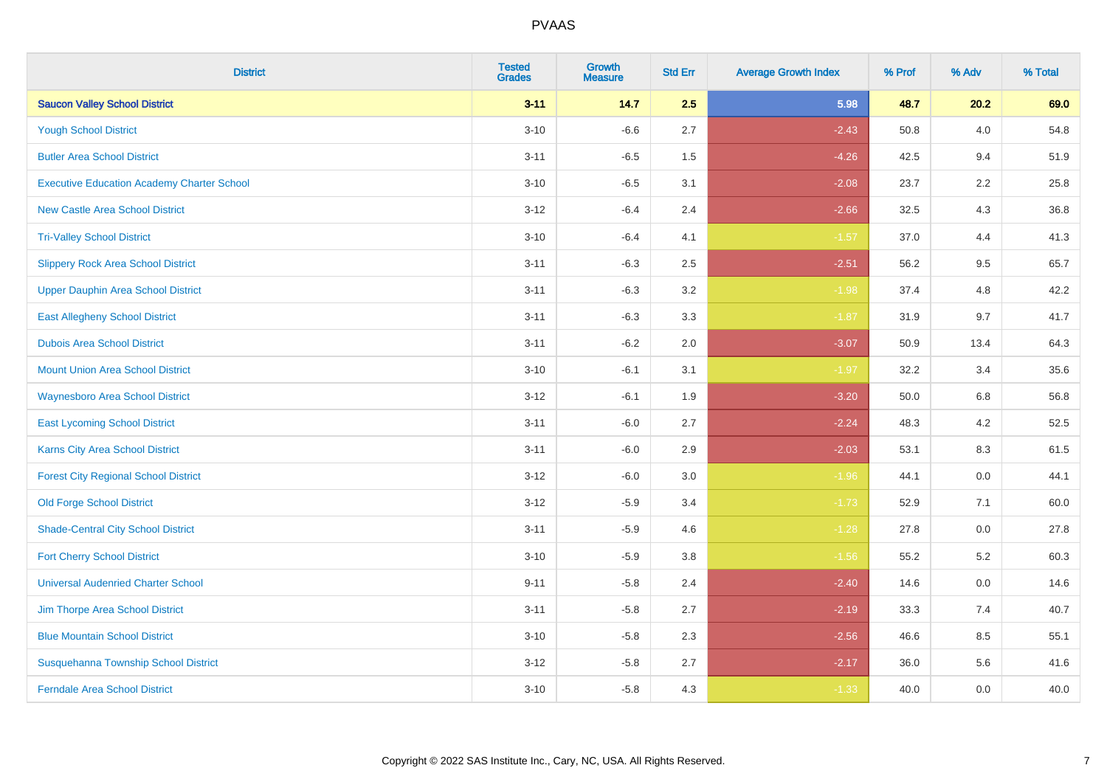| <b>District</b>                                   | <b>Tested</b><br><b>Grades</b> | <b>Growth</b><br><b>Measure</b> | <b>Std Err</b> | <b>Average Growth Index</b> | % Prof | % Adv   | % Total |
|---------------------------------------------------|--------------------------------|---------------------------------|----------------|-----------------------------|--------|---------|---------|
| <b>Saucon Valley School District</b>              | $3 - 11$                       | 14.7                            | 2.5            | 5.98                        | 48.7   | 20.2    | 69.0    |
| <b>Yough School District</b>                      | $3 - 10$                       | $-6.6$                          | 2.7            | $-2.43$                     | 50.8   | 4.0     | 54.8    |
| <b>Butler Area School District</b>                | $3 - 11$                       | $-6.5$                          | 1.5            | $-4.26$                     | 42.5   | 9.4     | 51.9    |
| <b>Executive Education Academy Charter School</b> | $3 - 10$                       | $-6.5$                          | 3.1            | $-2.08$                     | 23.7   | 2.2     | 25.8    |
| <b>New Castle Area School District</b>            | $3 - 12$                       | $-6.4$                          | 2.4            | $-2.66$                     | 32.5   | 4.3     | 36.8    |
| <b>Tri-Valley School District</b>                 | $3 - 10$                       | $-6.4$                          | 4.1            | $-1.57$                     | 37.0   | 4.4     | 41.3    |
| <b>Slippery Rock Area School District</b>         | $3 - 11$                       | $-6.3$                          | 2.5            | $-2.51$                     | 56.2   | 9.5     | 65.7    |
| <b>Upper Dauphin Area School District</b>         | $3 - 11$                       | $-6.3$                          | 3.2            | $-1.98$                     | 37.4   | 4.8     | 42.2    |
| <b>East Allegheny School District</b>             | $3 - 11$                       | $-6.3$                          | 3.3            | $-1.87$                     | 31.9   | 9.7     | 41.7    |
| <b>Dubois Area School District</b>                | $3 - 11$                       | $-6.2$                          | 2.0            | $-3.07$                     | 50.9   | 13.4    | 64.3    |
| <b>Mount Union Area School District</b>           | $3 - 10$                       | $-6.1$                          | 3.1            | $-1.97$                     | 32.2   | 3.4     | 35.6    |
| Waynesboro Area School District                   | $3-12$                         | $-6.1$                          | 1.9            | $-3.20$                     | 50.0   | 6.8     | 56.8    |
| <b>East Lycoming School District</b>              | $3 - 11$                       | $-6.0$                          | 2.7            | $-2.24$                     | 48.3   | $4.2\,$ | 52.5    |
| <b>Karns City Area School District</b>            | $3 - 11$                       | $-6.0$                          | 2.9            | $-2.03$                     | 53.1   | 8.3     | 61.5    |
| <b>Forest City Regional School District</b>       | $3-12$                         | $-6.0$                          | 3.0            | $-1.96$                     | 44.1   | 0.0     | 44.1    |
| <b>Old Forge School District</b>                  | $3 - 12$                       | $-5.9$                          | 3.4            | $-1.73$                     | 52.9   | 7.1     | 60.0    |
| <b>Shade-Central City School District</b>         | $3 - 11$                       | $-5.9$                          | 4.6            | $-1.28$                     | 27.8   | 0.0     | 27.8    |
| <b>Fort Cherry School District</b>                | $3 - 10$                       | $-5.9$                          | 3.8            | $-1.56$                     | 55.2   | 5.2     | 60.3    |
| <b>Universal Audenried Charter School</b>         | $9 - 11$                       | $-5.8$                          | 2.4            | $-2.40$                     | 14.6   | 0.0     | 14.6    |
| Jim Thorpe Area School District                   | $3 - 11$                       | $-5.8$                          | 2.7            | $-2.19$                     | 33.3   | 7.4     | 40.7    |
| <b>Blue Mountain School District</b>              | $3 - 10$                       | $-5.8$                          | 2.3            | $-2.56$                     | 46.6   | 8.5     | 55.1    |
| Susquehanna Township School District              | $3 - 12$                       | $-5.8$                          | 2.7            | $-2.17$                     | 36.0   | 5.6     | 41.6    |
| <b>Ferndale Area School District</b>              | $3 - 10$                       | $-5.8$                          | 4.3            | $-1.33$                     | 40.0   | 0.0     | 40.0    |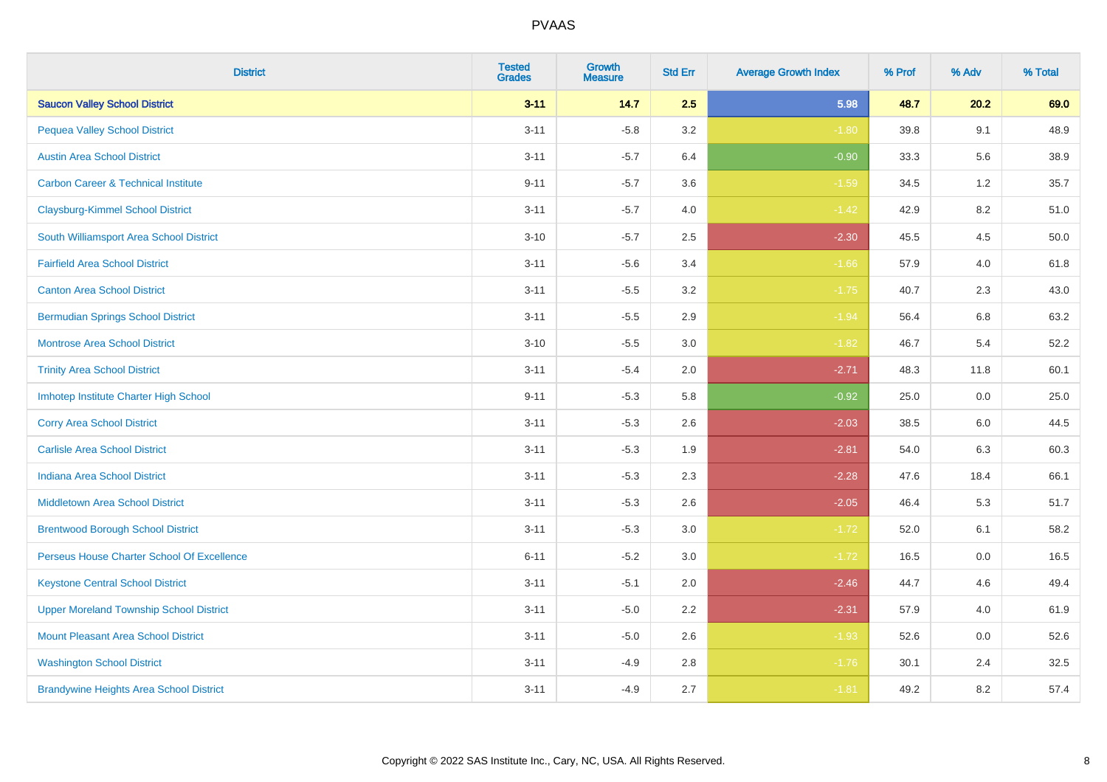| <b>District</b>                                | <b>Tested</b><br><b>Grades</b> | <b>Growth</b><br><b>Measure</b> | <b>Std Err</b> | <b>Average Growth Index</b> | % Prof | % Adv | % Total |
|------------------------------------------------|--------------------------------|---------------------------------|----------------|-----------------------------|--------|-------|---------|
| <b>Saucon Valley School District</b>           | $3 - 11$                       | 14.7                            | 2.5            | 5.98                        | 48.7   | 20.2  | 69.0    |
| <b>Pequea Valley School District</b>           | $3 - 11$                       | $-5.8$                          | 3.2            | $-1.80$                     | 39.8   | 9.1   | 48.9    |
| <b>Austin Area School District</b>             | $3 - 11$                       | $-5.7$                          | 6.4            | $-0.90$                     | 33.3   | 5.6   | 38.9    |
| <b>Carbon Career &amp; Technical Institute</b> | $9 - 11$                       | $-5.7$                          | 3.6            | $-1.59$                     | 34.5   | 1.2   | 35.7    |
| <b>Claysburg-Kimmel School District</b>        | $3 - 11$                       | $-5.7$                          | 4.0            | $-1.42$                     | 42.9   | 8.2   | 51.0    |
| South Williamsport Area School District        | $3 - 10$                       | $-5.7$                          | 2.5            | $-2.30$                     | 45.5   | 4.5   | 50.0    |
| <b>Fairfield Area School District</b>          | $3 - 11$                       | $-5.6$                          | 3.4            | $-1.66$                     | 57.9   | 4.0   | 61.8    |
| <b>Canton Area School District</b>             | $3 - 11$                       | $-5.5$                          | 3.2            | $-1.75$                     | 40.7   | 2.3   | 43.0    |
| <b>Bermudian Springs School District</b>       | $3 - 11$                       | $-5.5$                          | 2.9            | $-1.94$                     | 56.4   | 6.8   | 63.2    |
| <b>Montrose Area School District</b>           | $3 - 10$                       | $-5.5$                          | 3.0            | $-1.82$                     | 46.7   | 5.4   | 52.2    |
| <b>Trinity Area School District</b>            | $3 - 11$                       | $-5.4$                          | 2.0            | $-2.71$                     | 48.3   | 11.8  | 60.1    |
| Imhotep Institute Charter High School          | $9 - 11$                       | $-5.3$                          | 5.8            | $-0.92$                     | 25.0   | 0.0   | 25.0    |
| <b>Corry Area School District</b>              | $3 - 11$                       | $-5.3$                          | 2.6            | $-2.03$                     | 38.5   | 6.0   | 44.5    |
| <b>Carlisle Area School District</b>           | $3 - 11$                       | $-5.3$                          | 1.9            | $-2.81$                     | 54.0   | 6.3   | 60.3    |
| <b>Indiana Area School District</b>            | $3 - 11$                       | $-5.3$                          | 2.3            | $-2.28$                     | 47.6   | 18.4  | 66.1    |
| <b>Middletown Area School District</b>         | $3 - 11$                       | $-5.3$                          | 2.6            | $-2.05$                     | 46.4   | 5.3   | 51.7    |
| <b>Brentwood Borough School District</b>       | $3 - 11$                       | $-5.3$                          | 3.0            | $-1.72$                     | 52.0   | 6.1   | 58.2    |
| Perseus House Charter School Of Excellence     | $6 - 11$                       | $-5.2$                          | 3.0            | $-1.72$                     | 16.5   | 0.0   | 16.5    |
| <b>Keystone Central School District</b>        | $3 - 11$                       | $-5.1$                          | 2.0            | $-2.46$                     | 44.7   | 4.6   | 49.4    |
| <b>Upper Moreland Township School District</b> | $3 - 11$                       | $-5.0$                          | 2.2            | $-2.31$                     | 57.9   | 4.0   | 61.9    |
| <b>Mount Pleasant Area School District</b>     | $3 - 11$                       | $-5.0$                          | 2.6            | $-1.93$                     | 52.6   | 0.0   | 52.6    |
| <b>Washington School District</b>              | $3 - 11$                       | $-4.9$                          | 2.8            | $-1.76$                     | 30.1   | 2.4   | 32.5    |
| <b>Brandywine Heights Area School District</b> | $3 - 11$                       | $-4.9$                          | 2.7            | $-1.81$                     | 49.2   | 8.2   | 57.4    |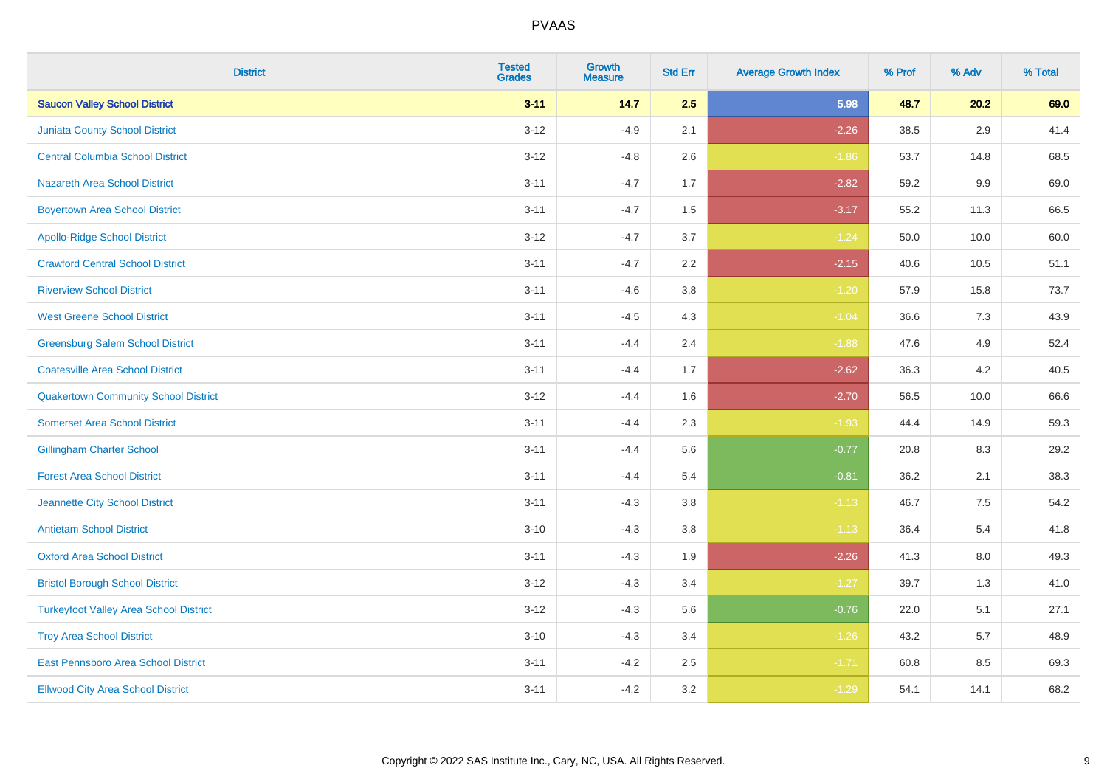| <b>District</b>                               | <b>Tested</b><br><b>Grades</b> | <b>Growth</b><br><b>Measure</b> | <b>Std Err</b> | <b>Average Growth Index</b> | % Prof | % Adv   | % Total |
|-----------------------------------------------|--------------------------------|---------------------------------|----------------|-----------------------------|--------|---------|---------|
| <b>Saucon Valley School District</b>          | $3 - 11$                       | 14.7                            | 2.5            | 5.98                        | 48.7   | 20.2    | 69.0    |
| <b>Juniata County School District</b>         | $3 - 12$                       | $-4.9$                          | 2.1            | $-2.26$                     | 38.5   | $2.9\,$ | 41.4    |
| <b>Central Columbia School District</b>       | $3 - 12$                       | $-4.8$                          | 2.6            | $-1.86$                     | 53.7   | 14.8    | 68.5    |
| <b>Nazareth Area School District</b>          | $3 - 11$                       | $-4.7$                          | 1.7            | $-2.82$                     | 59.2   | $9.9\,$ | 69.0    |
| <b>Boyertown Area School District</b>         | $3 - 11$                       | $-4.7$                          | 1.5            | $-3.17$                     | 55.2   | 11.3    | 66.5    |
| <b>Apollo-Ridge School District</b>           | $3 - 12$                       | $-4.7$                          | 3.7            | $-1.24$                     | 50.0   | 10.0    | 60.0    |
| <b>Crawford Central School District</b>       | $3 - 11$                       | $-4.7$                          | 2.2            | $-2.15$                     | 40.6   | 10.5    | 51.1    |
| <b>Riverview School District</b>              | $3 - 11$                       | $-4.6$                          | 3.8            | $-1.20$                     | 57.9   | 15.8    | 73.7    |
| <b>West Greene School District</b>            | $3 - 11$                       | $-4.5$                          | 4.3            | $-1.04$                     | 36.6   | 7.3     | 43.9    |
| <b>Greensburg Salem School District</b>       | $3 - 11$                       | $-4.4$                          | 2.4            | $-1.88$                     | 47.6   | 4.9     | 52.4    |
| <b>Coatesville Area School District</b>       | $3 - 11$                       | $-4.4$                          | 1.7            | $-2.62$                     | 36.3   | 4.2     | 40.5    |
| <b>Quakertown Community School District</b>   | $3 - 12$                       | $-4.4$                          | 1.6            | $-2.70$                     | 56.5   | 10.0    | 66.6    |
| <b>Somerset Area School District</b>          | $3 - 11$                       | $-4.4$                          | 2.3            | $-1.93$                     | 44.4   | 14.9    | 59.3    |
| <b>Gillingham Charter School</b>              | $3 - 11$                       | $-4.4$                          | 5.6            | $-0.77$                     | 20.8   | 8.3     | 29.2    |
| <b>Forest Area School District</b>            | $3 - 11$                       | $-4.4$                          | 5.4            | $-0.81$                     | 36.2   | 2.1     | 38.3    |
| Jeannette City School District                | $3 - 11$                       | $-4.3$                          | 3.8            | $-1.13$                     | 46.7   | $7.5\,$ | 54.2    |
| <b>Antietam School District</b>               | $3 - 10$                       | $-4.3$                          | 3.8            | $-1.13$                     | 36.4   | $5.4$   | 41.8    |
| <b>Oxford Area School District</b>            | $3 - 11$                       | $-4.3$                          | 1.9            | $-2.26$                     | 41.3   | 8.0     | 49.3    |
| <b>Bristol Borough School District</b>        | $3 - 12$                       | $-4.3$                          | 3.4            | $-1.27$                     | 39.7   | 1.3     | 41.0    |
| <b>Turkeyfoot Valley Area School District</b> | $3 - 12$                       | $-4.3$                          | 5.6            | $-0.76$                     | 22.0   | 5.1     | 27.1    |
| <b>Troy Area School District</b>              | $3 - 10$                       | $-4.3$                          | 3.4            | $-1.26$                     | 43.2   | 5.7     | 48.9    |
| East Pennsboro Area School District           | $3 - 11$                       | $-4.2$                          | 2.5            | $-1.71$                     | 60.8   | 8.5     | 69.3    |
| <b>Ellwood City Area School District</b>      | $3 - 11$                       | $-4.2$                          | 3.2            | $-1.29$                     | 54.1   | 14.1    | 68.2    |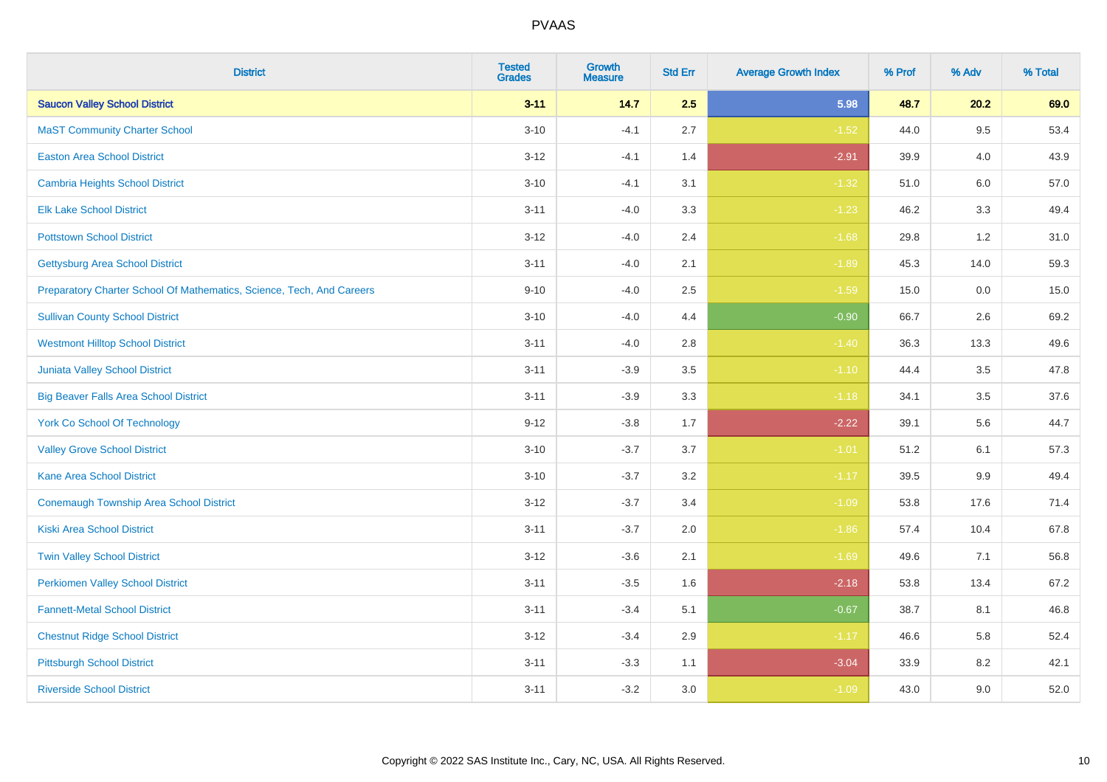| <b>District</b>                                                       | <b>Tested</b><br><b>Grades</b> | <b>Growth</b><br><b>Measure</b> | <b>Std Err</b> | <b>Average Growth Index</b> | % Prof | % Adv   | % Total |
|-----------------------------------------------------------------------|--------------------------------|---------------------------------|----------------|-----------------------------|--------|---------|---------|
| <b>Saucon Valley School District</b>                                  | $3 - 11$                       | 14.7                            | 2.5            | 5.98                        | 48.7   | 20.2    | 69.0    |
| <b>MaST Community Charter School</b>                                  | $3 - 10$                       | $-4.1$                          | 2.7            | $-1.52$                     | 44.0   | 9.5     | 53.4    |
| <b>Easton Area School District</b>                                    | $3 - 12$                       | $-4.1$                          | 1.4            | $-2.91$                     | 39.9   | 4.0     | 43.9    |
| <b>Cambria Heights School District</b>                                | $3 - 10$                       | $-4.1$                          | 3.1            | $-1.32$                     | 51.0   | $6.0\,$ | 57.0    |
| <b>Elk Lake School District</b>                                       | $3 - 11$                       | $-4.0$                          | 3.3            | $-1.23$                     | 46.2   | 3.3     | 49.4    |
| <b>Pottstown School District</b>                                      | $3 - 12$                       | $-4.0$                          | 2.4            | $-1.68$                     | 29.8   | 1.2     | 31.0    |
| <b>Gettysburg Area School District</b>                                | $3 - 11$                       | $-4.0$                          | 2.1            | $-1.89$                     | 45.3   | 14.0    | 59.3    |
| Preparatory Charter School Of Mathematics, Science, Tech, And Careers | $9 - 10$                       | $-4.0$                          | 2.5            | $-1.59$                     | 15.0   | 0.0     | 15.0    |
| <b>Sullivan County School District</b>                                | $3 - 10$                       | $-4.0$                          | 4.4            | $-0.90$                     | 66.7   | 2.6     | 69.2    |
| <b>Westmont Hilltop School District</b>                               | $3 - 11$                       | $-4.0$                          | 2.8            | $-1.40$                     | 36.3   | 13.3    | 49.6    |
| Juniata Valley School District                                        | $3 - 11$                       | $-3.9$                          | 3.5            | $-1.10$                     | 44.4   | 3.5     | 47.8    |
| <b>Big Beaver Falls Area School District</b>                          | $3 - 11$                       | $-3.9$                          | 3.3            | $-1.18$                     | 34.1   | 3.5     | 37.6    |
| <b>York Co School Of Technology</b>                                   | $9 - 12$                       | $-3.8$                          | 1.7            | $-2.22$                     | 39.1   | 5.6     | 44.7    |
| <b>Valley Grove School District</b>                                   | $3 - 10$                       | $-3.7$                          | 3.7            | $-1.01$                     | 51.2   | 6.1     | 57.3    |
| <b>Kane Area School District</b>                                      | $3 - 10$                       | $-3.7$                          | 3.2            | $-1.17$                     | 39.5   | 9.9     | 49.4    |
| <b>Conemaugh Township Area School District</b>                        | $3 - 12$                       | $-3.7$                          | 3.4            | $-1.09$                     | 53.8   | 17.6    | 71.4    |
| <b>Kiski Area School District</b>                                     | $3 - 11$                       | $-3.7$                          | 2.0            | $-1.86$                     | 57.4   | 10.4    | 67.8    |
| <b>Twin Valley School District</b>                                    | $3 - 12$                       | $-3.6$                          | 2.1            | $-1.69$                     | 49.6   | 7.1     | 56.8    |
| <b>Perkiomen Valley School District</b>                               | $3 - 11$                       | $-3.5$                          | 1.6            | $-2.18$                     | 53.8   | 13.4    | 67.2    |
| <b>Fannett-Metal School District</b>                                  | $3 - 11$                       | $-3.4$                          | 5.1            | $-0.67$                     | 38.7   | 8.1     | 46.8    |
| <b>Chestnut Ridge School District</b>                                 | $3 - 12$                       | $-3.4$                          | 2.9            | $-1.17$                     | 46.6   | 5.8     | 52.4    |
| <b>Pittsburgh School District</b>                                     | $3 - 11$                       | $-3.3$                          | 1.1            | $-3.04$                     | 33.9   | 8.2     | 42.1    |
| <b>Riverside School District</b>                                      | $3 - 11$                       | $-3.2$                          | 3.0            | $-1.09$                     | 43.0   | 9.0     | 52.0    |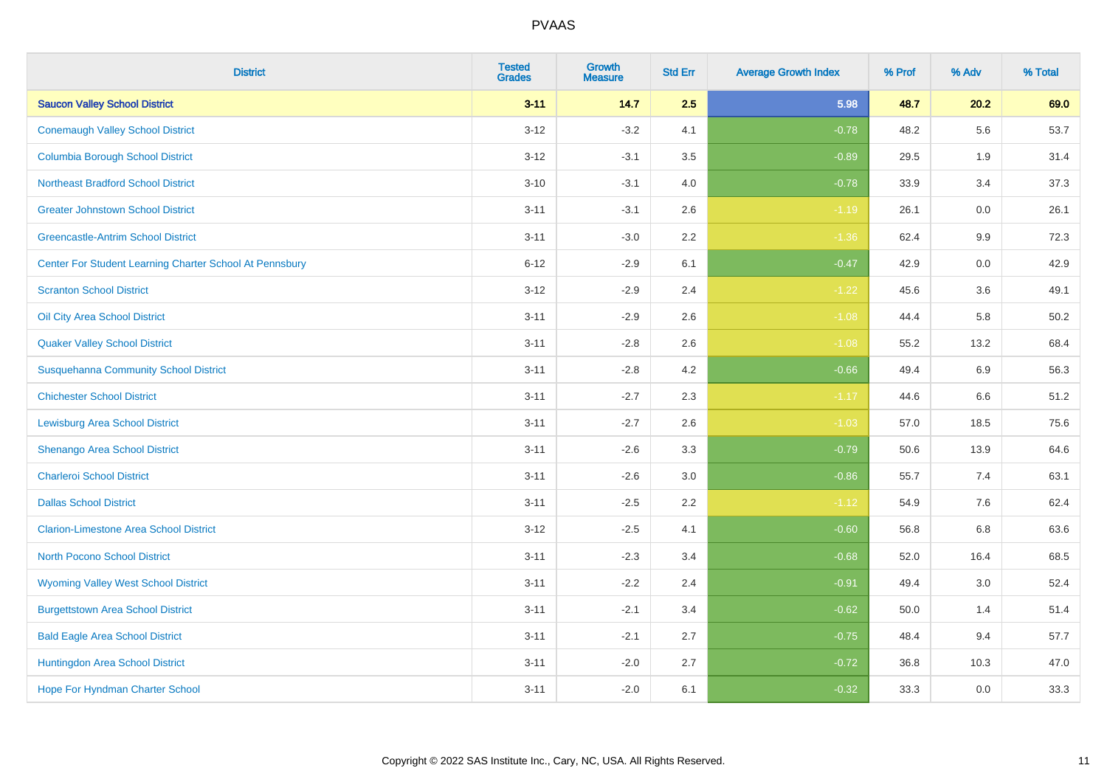| <b>District</b>                                         | <b>Tested</b><br><b>Grades</b> | <b>Growth</b><br><b>Measure</b> | <b>Std Err</b> | <b>Average Growth Index</b> | % Prof | % Adv   | % Total |
|---------------------------------------------------------|--------------------------------|---------------------------------|----------------|-----------------------------|--------|---------|---------|
| <b>Saucon Valley School District</b>                    | $3 - 11$                       | 14.7                            | 2.5            | 5.98                        | 48.7   | 20.2    | 69.0    |
| <b>Conemaugh Valley School District</b>                 | $3 - 12$                       | $-3.2$                          | 4.1            | $-0.78$                     | 48.2   | 5.6     | 53.7    |
| <b>Columbia Borough School District</b>                 | $3 - 12$                       | $-3.1$                          | 3.5            | $-0.89$                     | 29.5   | 1.9     | 31.4    |
| <b>Northeast Bradford School District</b>               | $3 - 10$                       | $-3.1$                          | 4.0            | $-0.78$                     | 33.9   | 3.4     | 37.3    |
| <b>Greater Johnstown School District</b>                | $3 - 11$                       | $-3.1$                          | 2.6            | $-1.19$                     | 26.1   | 0.0     | 26.1    |
| <b>Greencastle-Antrim School District</b>               | $3 - 11$                       | $-3.0$                          | 2.2            | $-1.36$                     | 62.4   | 9.9     | 72.3    |
| Center For Student Learning Charter School At Pennsbury | $6 - 12$                       | $-2.9$                          | 6.1            | $-0.47$                     | 42.9   | 0.0     | 42.9    |
| <b>Scranton School District</b>                         | $3 - 12$                       | $-2.9$                          | 2.4            | $-1.22$                     | 45.6   | 3.6     | 49.1    |
| Oil City Area School District                           | $3 - 11$                       | $-2.9$                          | 2.6            | $-1.08$                     | 44.4   | 5.8     | 50.2    |
| <b>Quaker Valley School District</b>                    | $3 - 11$                       | $-2.8$                          | 2.6            | $-1.08$                     | 55.2   | 13.2    | 68.4    |
| <b>Susquehanna Community School District</b>            | $3 - 11$                       | $-2.8$                          | 4.2            | $-0.66$                     | 49.4   | 6.9     | 56.3    |
| <b>Chichester School District</b>                       | $3 - 11$                       | $-2.7$                          | 2.3            | $-1.17$                     | 44.6   | 6.6     | 51.2    |
| <b>Lewisburg Area School District</b>                   | $3 - 11$                       | $-2.7$                          | 2.6            | $-1.03$                     | 57.0   | 18.5    | 75.6    |
| Shenango Area School District                           | $3 - 11$                       | $-2.6$                          | 3.3            | $-0.79$                     | 50.6   | 13.9    | 64.6    |
| <b>Charleroi School District</b>                        | $3 - 11$                       | $-2.6$                          | 3.0            | $-0.86$                     | 55.7   | 7.4     | 63.1    |
| <b>Dallas School District</b>                           | $3 - 11$                       | $-2.5$                          | 2.2            | $-1.12$                     | 54.9   | $7.6\,$ | 62.4    |
| <b>Clarion-Limestone Area School District</b>           | $3 - 12$                       | $-2.5$                          | 4.1            | $-0.60$                     | 56.8   | 6.8     | 63.6    |
| North Pocono School District                            | $3 - 11$                       | $-2.3$                          | 3.4            | $-0.68$                     | 52.0   | 16.4    | 68.5    |
| <b>Wyoming Valley West School District</b>              | $3 - 11$                       | $-2.2$                          | 2.4            | $-0.91$                     | 49.4   | 3.0     | 52.4    |
| <b>Burgettstown Area School District</b>                | $3 - 11$                       | $-2.1$                          | 3.4            | $-0.62$                     | 50.0   | 1.4     | 51.4    |
| <b>Bald Eagle Area School District</b>                  | $3 - 11$                       | $-2.1$                          | 2.7            | $-0.75$                     | 48.4   | 9.4     | 57.7    |
| Huntingdon Area School District                         | $3 - 11$                       | $-2.0$                          | 2.7            | $-0.72$                     | 36.8   | 10.3    | 47.0    |
| <b>Hope For Hyndman Charter School</b>                  | $3 - 11$                       | $-2.0$                          | 6.1            | $-0.32$                     | 33.3   | 0.0     | 33.3    |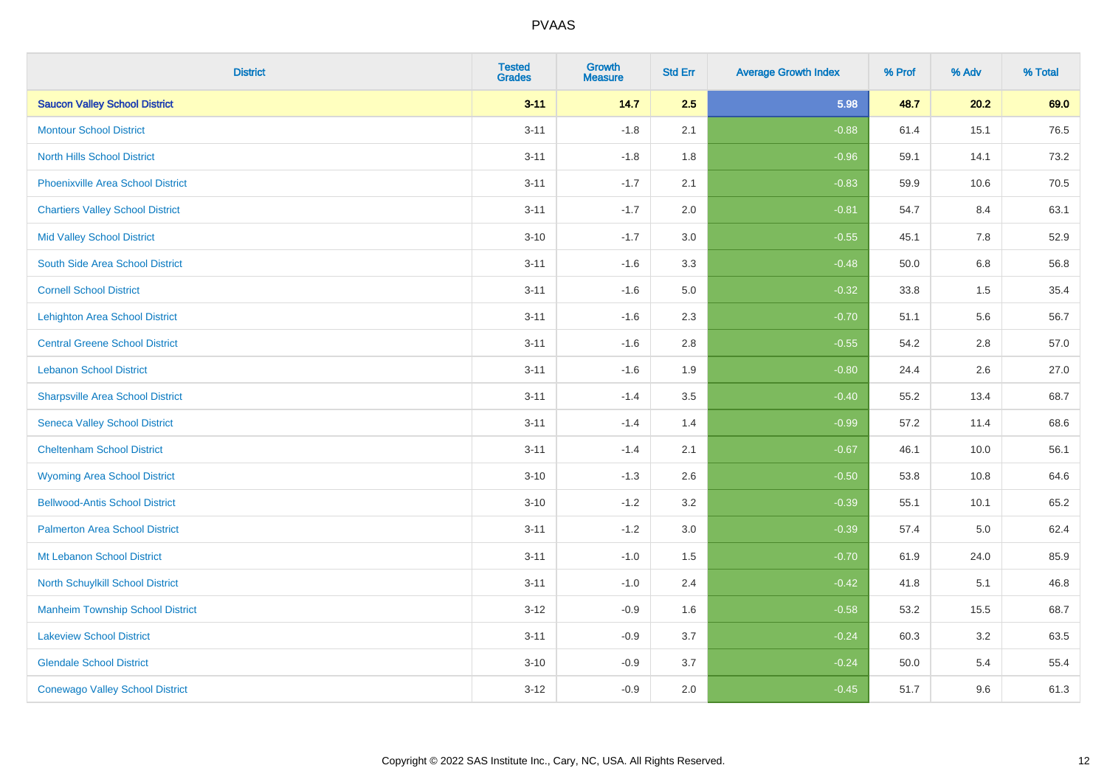| <b>District</b>                          | <b>Tested</b><br><b>Grades</b> | <b>Growth</b><br><b>Measure</b> | <b>Std Err</b> | <b>Average Growth Index</b> | % Prof | % Adv   | % Total |
|------------------------------------------|--------------------------------|---------------------------------|----------------|-----------------------------|--------|---------|---------|
| <b>Saucon Valley School District</b>     | $3 - 11$                       | 14.7                            | 2.5            | 5.98                        | 48.7   | 20.2    | 69.0    |
| <b>Montour School District</b>           | $3 - 11$                       | $-1.8$                          | 2.1            | $-0.88$                     | 61.4   | 15.1    | 76.5    |
| <b>North Hills School District</b>       | $3 - 11$                       | $-1.8$                          | 1.8            | $-0.96$                     | 59.1   | 14.1    | 73.2    |
| <b>Phoenixville Area School District</b> | $3 - 11$                       | $-1.7$                          | 2.1            | $-0.83$                     | 59.9   | 10.6    | 70.5    |
| <b>Chartiers Valley School District</b>  | $3 - 11$                       | $-1.7$                          | 2.0            | $-0.81$                     | 54.7   | 8.4     | 63.1    |
| <b>Mid Valley School District</b>        | $3 - 10$                       | $-1.7$                          | 3.0            | $-0.55$                     | 45.1   | 7.8     | 52.9    |
| South Side Area School District          | $3 - 11$                       | $-1.6$                          | 3.3            | $-0.48$                     | 50.0   | $6.8\,$ | 56.8    |
| <b>Cornell School District</b>           | $3 - 11$                       | $-1.6$                          | 5.0            | $-0.32$                     | 33.8   | 1.5     | 35.4    |
| <b>Lehighton Area School District</b>    | $3 - 11$                       | $-1.6$                          | 2.3            | $-0.70$                     | 51.1   | 5.6     | 56.7    |
| <b>Central Greene School District</b>    | $3 - 11$                       | $-1.6$                          | 2.8            | $-0.55$                     | 54.2   | 2.8     | 57.0    |
| <b>Lebanon School District</b>           | $3 - 11$                       | $-1.6$                          | 1.9            | $-0.80$                     | 24.4   | 2.6     | 27.0    |
| <b>Sharpsville Area School District</b>  | $3 - 11$                       | $-1.4$                          | 3.5            | $-0.40$                     | 55.2   | 13.4    | 68.7    |
| <b>Seneca Valley School District</b>     | $3 - 11$                       | $-1.4$                          | 1.4            | $-0.99$                     | 57.2   | 11.4    | 68.6    |
| <b>Cheltenham School District</b>        | $3 - 11$                       | $-1.4$                          | 2.1            | $-0.67$                     | 46.1   | 10.0    | 56.1    |
| <b>Wyoming Area School District</b>      | $3 - 10$                       | $-1.3$                          | 2.6            | $-0.50$                     | 53.8   | 10.8    | 64.6    |
| <b>Bellwood-Antis School District</b>    | $3 - 10$                       | $-1.2$                          | 3.2            | $-0.39$                     | 55.1   | 10.1    | 65.2    |
| <b>Palmerton Area School District</b>    | $3 - 11$                       | $-1.2$                          | 3.0            | $-0.39$                     | 57.4   | 5.0     | 62.4    |
| Mt Lebanon School District               | $3 - 11$                       | $-1.0$                          | 1.5            | $-0.70$                     | 61.9   | 24.0    | 85.9    |
| <b>North Schuylkill School District</b>  | $3 - 11$                       | $-1.0$                          | 2.4            | $-0.42$                     | 41.8   | 5.1     | 46.8    |
| <b>Manheim Township School District</b>  | $3 - 12$                       | $-0.9$                          | 1.6            | $-0.58$                     | 53.2   | 15.5    | 68.7    |
| <b>Lakeview School District</b>          | $3 - 11$                       | $-0.9$                          | 3.7            | $-0.24$                     | 60.3   | 3.2     | 63.5    |
| <b>Glendale School District</b>          | $3 - 10$                       | $-0.9$                          | 3.7            | $-0.24$                     | 50.0   | 5.4     | 55.4    |
| <b>Conewago Valley School District</b>   | $3 - 12$                       | $-0.9$                          | 2.0            | $-0.45$                     | 51.7   | 9.6     | 61.3    |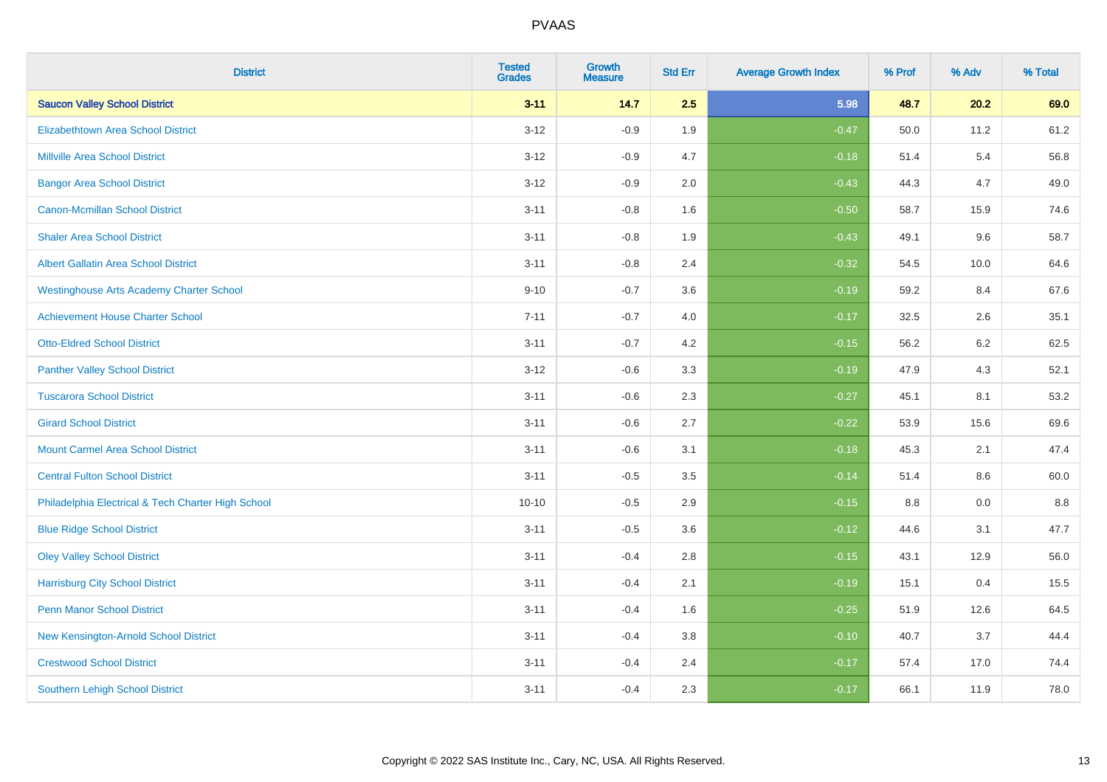| <b>District</b>                                    | <b>Tested</b><br><b>Grades</b> | <b>Growth</b><br><b>Measure</b> | <b>Std Err</b> | <b>Average Growth Index</b> | % Prof | % Adv   | % Total |
|----------------------------------------------------|--------------------------------|---------------------------------|----------------|-----------------------------|--------|---------|---------|
| <b>Saucon Valley School District</b>               | $3 - 11$                       | 14.7                            | 2.5            | 5.98                        | 48.7   | 20.2    | 69.0    |
| <b>Elizabethtown Area School District</b>          | $3 - 12$                       | $-0.9$                          | 1.9            | $-0.47$                     | 50.0   | 11.2    | 61.2    |
| <b>Millville Area School District</b>              | $3 - 12$                       | $-0.9$                          | 4.7            | $-0.18$                     | 51.4   | 5.4     | 56.8    |
| <b>Bangor Area School District</b>                 | $3 - 12$                       | $-0.9$                          | 2.0            | $-0.43$                     | 44.3   | 4.7     | 49.0    |
| <b>Canon-Mcmillan School District</b>              | $3 - 11$                       | $-0.8$                          | 1.6            | $-0.50$                     | 58.7   | 15.9    | 74.6    |
| <b>Shaler Area School District</b>                 | $3 - 11$                       | $-0.8$                          | 1.9            | $-0.43$                     | 49.1   | 9.6     | 58.7    |
| <b>Albert Gallatin Area School District</b>        | $3 - 11$                       | $-0.8$                          | 2.4            | $-0.32$                     | 54.5   | 10.0    | 64.6    |
| <b>Westinghouse Arts Academy Charter School</b>    | $9 - 10$                       | $-0.7$                          | 3.6            | $-0.19$                     | 59.2   | 8.4     | 67.6    |
| <b>Achievement House Charter School</b>            | $7 - 11$                       | $-0.7$                          | 4.0            | $-0.17$                     | 32.5   | 2.6     | 35.1    |
| <b>Otto-Eldred School District</b>                 | $3 - 11$                       | $-0.7$                          | 4.2            | $-0.15$                     | 56.2   | $6.2\,$ | 62.5    |
| <b>Panther Valley School District</b>              | $3 - 12$                       | $-0.6$                          | 3.3            | $-0.19$                     | 47.9   | 4.3     | 52.1    |
| <b>Tuscarora School District</b>                   | $3 - 11$                       | $-0.6$                          | 2.3            | $-0.27$                     | 45.1   | 8.1     | 53.2    |
| <b>Girard School District</b>                      | $3 - 11$                       | $-0.6$                          | 2.7            | $-0.22$                     | 53.9   | 15.6    | 69.6    |
| <b>Mount Carmel Area School District</b>           | $3 - 11$                       | $-0.6$                          | 3.1            | $-0.18$                     | 45.3   | 2.1     | 47.4    |
| <b>Central Fulton School District</b>              | $3 - 11$                       | $-0.5$                          | 3.5            | $-0.14$                     | 51.4   | 8.6     | 60.0    |
| Philadelphia Electrical & Tech Charter High School | $10 - 10$                      | $-0.5$                          | 2.9            | $-0.15$                     | 8.8    | 0.0     | 8.8     |
| <b>Blue Ridge School District</b>                  | $3 - 11$                       | $-0.5$                          | 3.6            | $-0.12$                     | 44.6   | 3.1     | 47.7    |
| <b>Oley Valley School District</b>                 | $3 - 11$                       | $-0.4$                          | 2.8            | $-0.15$                     | 43.1   | 12.9    | 56.0    |
| <b>Harrisburg City School District</b>             | $3 - 11$                       | $-0.4$                          | 2.1            | $-0.19$                     | 15.1   | 0.4     | 15.5    |
| <b>Penn Manor School District</b>                  | $3 - 11$                       | $-0.4$                          | 1.6            | $-0.25$                     | 51.9   | 12.6    | 64.5    |
| New Kensington-Arnold School District              | $3 - 11$                       | $-0.4$                          | 3.8            | $-0.10$                     | 40.7   | 3.7     | 44.4    |
| <b>Crestwood School District</b>                   | $3 - 11$                       | $-0.4$                          | 2.4            | $-0.17$                     | 57.4   | 17.0    | 74.4    |
| <b>Southern Lehigh School District</b>             | $3 - 11$                       | $-0.4$                          | 2.3            | $-0.17$                     | 66.1   | 11.9    | 78.0    |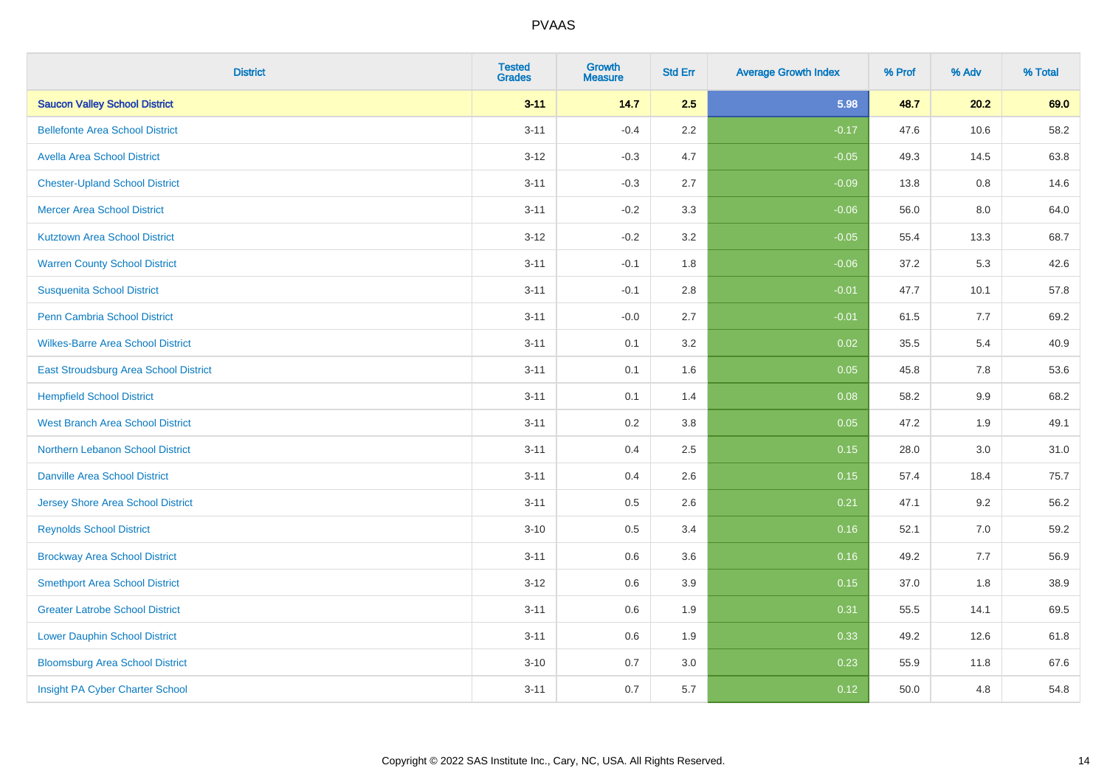| <b>District</b>                          | <b>Tested</b><br><b>Grades</b> | <b>Growth</b><br><b>Measure</b> | <b>Std Err</b> | <b>Average Growth Index</b> | % Prof | % Adv | % Total |
|------------------------------------------|--------------------------------|---------------------------------|----------------|-----------------------------|--------|-------|---------|
| <b>Saucon Valley School District</b>     | $3 - 11$                       | 14.7                            | 2.5            | 5.98                        | 48.7   | 20.2  | 69.0    |
| <b>Bellefonte Area School District</b>   | $3 - 11$                       | $-0.4$                          | $2.2\,$        | $-0.17$                     | 47.6   | 10.6  | 58.2    |
| <b>Avella Area School District</b>       | $3 - 12$                       | $-0.3$                          | 4.7            | $-0.05$                     | 49.3   | 14.5  | 63.8    |
| <b>Chester-Upland School District</b>    | $3 - 11$                       | $-0.3$                          | 2.7            | $-0.09$                     | 13.8   | 0.8   | 14.6    |
| <b>Mercer Area School District</b>       | $3 - 11$                       | $-0.2$                          | 3.3            | $-0.06$                     | 56.0   | 8.0   | 64.0    |
| <b>Kutztown Area School District</b>     | $3 - 12$                       | $-0.2$                          | 3.2            | $-0.05$                     | 55.4   | 13.3  | 68.7    |
| <b>Warren County School District</b>     | $3 - 11$                       | $-0.1$                          | 1.8            | $-0.06$                     | 37.2   | 5.3   | 42.6    |
| <b>Susquenita School District</b>        | $3 - 11$                       | $-0.1$                          | $2.8\,$        | $-0.01$                     | 47.7   | 10.1  | 57.8    |
| Penn Cambria School District             | $3 - 11$                       | $-0.0$                          | 2.7            | $-0.01$                     | 61.5   | 7.7   | 69.2    |
| <b>Wilkes-Barre Area School District</b> | $3 - 11$                       | 0.1                             | 3.2            | 0.02                        | 35.5   | 5.4   | 40.9    |
| East Stroudsburg Area School District    | $3 - 11$                       | 0.1                             | 1.6            | 0.05                        | 45.8   | 7.8   | 53.6    |
| <b>Hempfield School District</b>         | $3 - 11$                       | 0.1                             | 1.4            | 0.08                        | 58.2   | 9.9   | 68.2    |
| <b>West Branch Area School District</b>  | $3 - 11$                       | 0.2                             | $3.8\,$        | 0.05                        | 47.2   | 1.9   | 49.1    |
| Northern Lebanon School District         | $3 - 11$                       | 0.4                             | 2.5            | 0.15                        | 28.0   | 3.0   | 31.0    |
| <b>Danville Area School District</b>     | $3 - 11$                       | 0.4                             | 2.6            | 0.15                        | 57.4   | 18.4  | 75.7    |
| <b>Jersey Shore Area School District</b> | $3 - 11$                       | 0.5                             | 2.6            | 0.21                        | 47.1   | 9.2   | 56.2    |
| <b>Reynolds School District</b>          | $3 - 10$                       | 0.5                             | 3.4            | 0.16                        | 52.1   | 7.0   | 59.2    |
| <b>Brockway Area School District</b>     | $3 - 11$                       | 0.6                             | 3.6            | 0.16                        | 49.2   | 7.7   | 56.9    |
| <b>Smethport Area School District</b>    | $3 - 12$                       | 0.6                             | 3.9            | 0.15                        | 37.0   | 1.8   | 38.9    |
| <b>Greater Latrobe School District</b>   | $3 - 11$                       | 0.6                             | 1.9            | 0.31                        | 55.5   | 14.1  | 69.5    |
| <b>Lower Dauphin School District</b>     | $3 - 11$                       | 0.6                             | 1.9            | 0.33                        | 49.2   | 12.6  | 61.8    |
| <b>Bloomsburg Area School District</b>   | $3 - 10$                       | 0.7                             | 3.0            | 0.23                        | 55.9   | 11.8  | 67.6    |
| Insight PA Cyber Charter School          | $3 - 11$                       | 0.7                             | 5.7            | 0.12                        | 50.0   | 4.8   | 54.8    |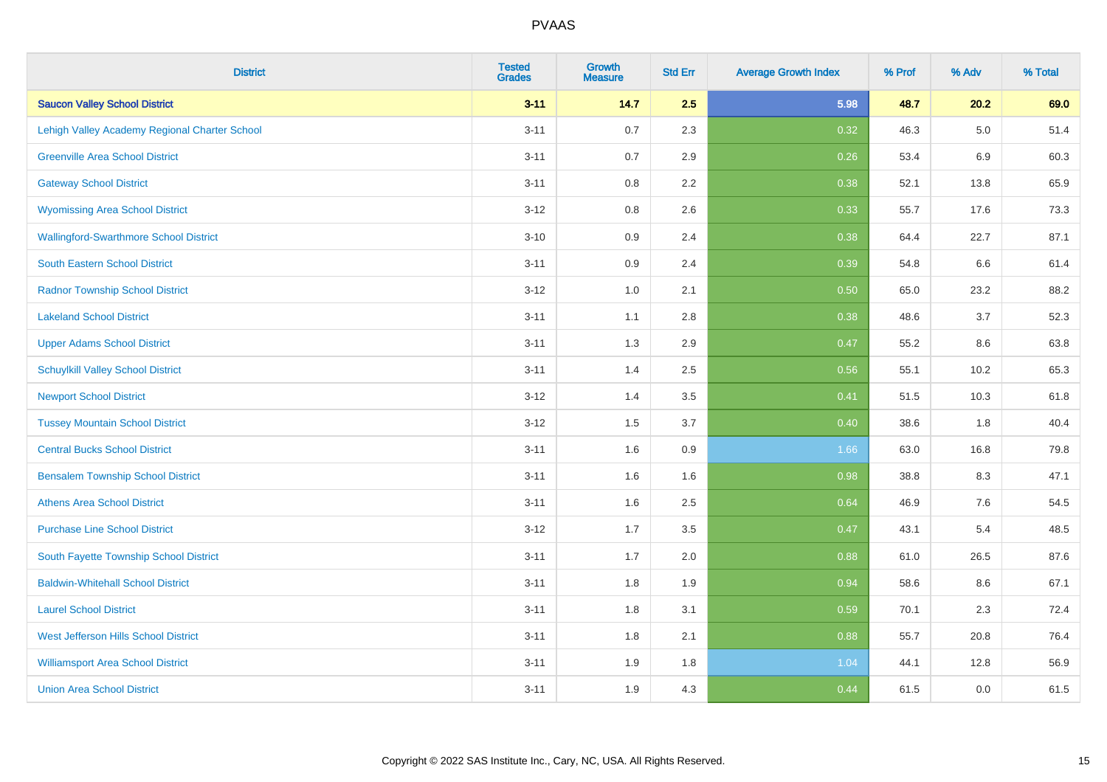| <b>District</b>                               | <b>Tested</b><br><b>Grades</b> | <b>Growth</b><br><b>Measure</b> | <b>Std Err</b> | <b>Average Growth Index</b> | % Prof | % Adv   | % Total |
|-----------------------------------------------|--------------------------------|---------------------------------|----------------|-----------------------------|--------|---------|---------|
| <b>Saucon Valley School District</b>          | $3 - 11$                       | 14.7                            | 2.5            | 5.98                        | 48.7   | 20.2    | 69.0    |
| Lehigh Valley Academy Regional Charter School | $3 - 11$                       | 0.7                             | 2.3            | 0.32                        | 46.3   | $5.0\,$ | 51.4    |
| <b>Greenville Area School District</b>        | $3 - 11$                       | 0.7                             | 2.9            | 0.26                        | 53.4   | 6.9     | 60.3    |
| <b>Gateway School District</b>                | $3 - 11$                       | $0.8\,$                         | 2.2            | 0.38                        | 52.1   | 13.8    | 65.9    |
| <b>Wyomissing Area School District</b>        | $3 - 12$                       | 0.8                             | 2.6            | 0.33                        | 55.7   | 17.6    | 73.3    |
| <b>Wallingford-Swarthmore School District</b> | $3 - 10$                       | 0.9                             | 2.4            | 0.38                        | 64.4   | 22.7    | 87.1    |
| South Eastern School District                 | $3 - 11$                       | 0.9                             | 2.4            | 0.39                        | 54.8   | 6.6     | 61.4    |
| <b>Radnor Township School District</b>        | $3 - 12$                       | 1.0                             | 2.1            | 0.50                        | 65.0   | 23.2    | 88.2    |
| <b>Lakeland School District</b>               | $3 - 11$                       | 1.1                             | 2.8            | 0.38                        | 48.6   | 3.7     | 52.3    |
| <b>Upper Adams School District</b>            | $3 - 11$                       | 1.3                             | 2.9            | 0.47                        | 55.2   | 8.6     | 63.8    |
| <b>Schuylkill Valley School District</b>      | $3 - 11$                       | 1.4                             | 2.5            | 0.56                        | 55.1   | 10.2    | 65.3    |
| <b>Newport School District</b>                | $3 - 12$                       | 1.4                             | 3.5            | 0.41                        | 51.5   | 10.3    | 61.8    |
| <b>Tussey Mountain School District</b>        | $3 - 12$                       | 1.5                             | 3.7            | 0.40                        | 38.6   | 1.8     | 40.4    |
| <b>Central Bucks School District</b>          | $3 - 11$                       | 1.6                             | $0.9\,$        | 1.66                        | 63.0   | 16.8    | 79.8    |
| <b>Bensalem Township School District</b>      | $3 - 11$                       | 1.6                             | 1.6            | 0.98                        | 38.8   | 8.3     | 47.1    |
| <b>Athens Area School District</b>            | $3 - 11$                       | 1.6                             | 2.5            | 0.64                        | 46.9   | 7.6     | 54.5    |
| <b>Purchase Line School District</b>          | $3 - 12$                       | 1.7                             | 3.5            | 0.47                        | 43.1   | 5.4     | 48.5    |
| South Fayette Township School District        | $3 - 11$                       | 1.7                             | 2.0            | 0.88                        | 61.0   | 26.5    | 87.6    |
| <b>Baldwin-Whitehall School District</b>      | $3 - 11$                       | 1.8                             | 1.9            | 0.94                        | 58.6   | 8.6     | 67.1    |
| <b>Laurel School District</b>                 | $3 - 11$                       | 1.8                             | 3.1            | 0.59                        | 70.1   | 2.3     | 72.4    |
| <b>West Jefferson Hills School District</b>   | $3 - 11$                       | 1.8                             | 2.1            | 0.88                        | 55.7   | 20.8    | 76.4    |
| <b>Williamsport Area School District</b>      | $3 - 11$                       | 1.9                             | 1.8            | 1.04                        | 44.1   | 12.8    | 56.9    |
| <b>Union Area School District</b>             | $3 - 11$                       | 1.9                             | 4.3            | 0.44                        | 61.5   | 0.0     | 61.5    |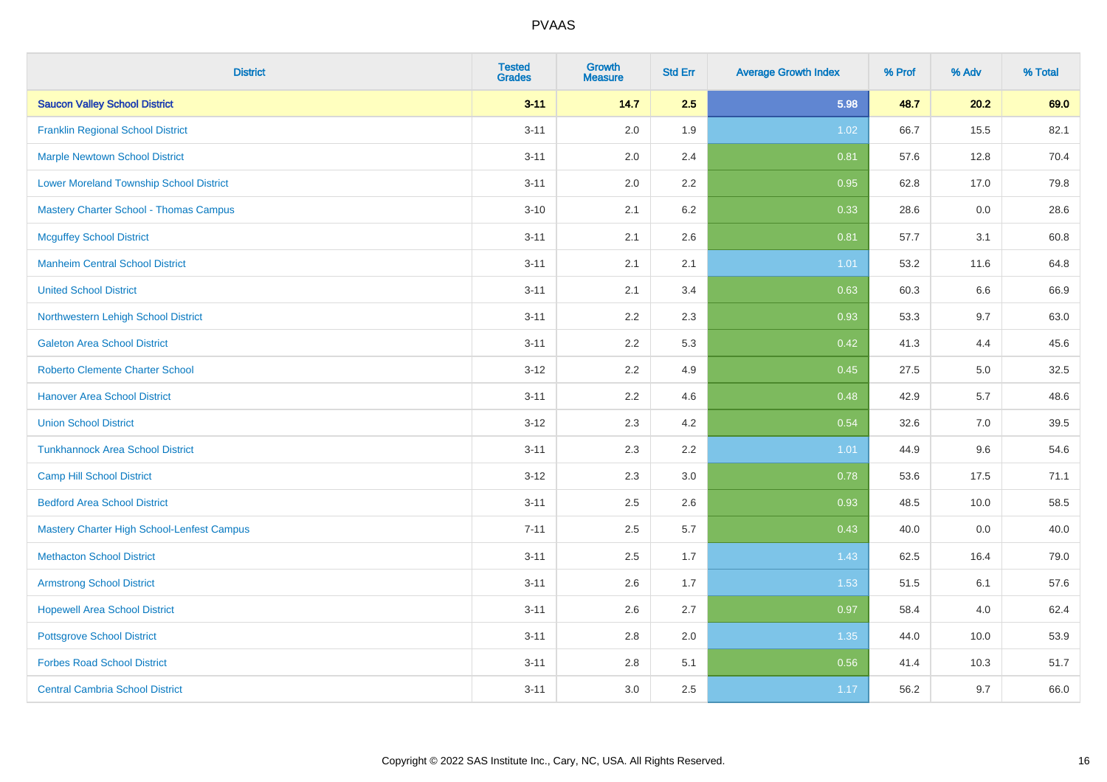| <b>District</b>                                | <b>Tested</b><br><b>Grades</b> | <b>Growth</b><br><b>Measure</b> | <b>Std Err</b> | <b>Average Growth Index</b> | % Prof | % Adv | % Total |
|------------------------------------------------|--------------------------------|---------------------------------|----------------|-----------------------------|--------|-------|---------|
| <b>Saucon Valley School District</b>           | $3 - 11$                       | 14.7                            | 2.5            | 5.98                        | 48.7   | 20.2  | 69.0    |
| <b>Franklin Regional School District</b>       | $3 - 11$                       | 2.0                             | 1.9            | 1.02                        | 66.7   | 15.5  | 82.1    |
| <b>Marple Newtown School District</b>          | $3 - 11$                       | 2.0                             | 2.4            | 0.81                        | 57.6   | 12.8  | 70.4    |
| <b>Lower Moreland Township School District</b> | $3 - 11$                       | 2.0                             | 2.2            | 0.95                        | 62.8   | 17.0  | 79.8    |
| <b>Mastery Charter School - Thomas Campus</b>  | $3 - 10$                       | 2.1                             | 6.2            | 0.33                        | 28.6   | 0.0   | 28.6    |
| <b>Mcguffey School District</b>                | $3 - 11$                       | 2.1                             | 2.6            | 0.81                        | 57.7   | 3.1   | 60.8    |
| <b>Manheim Central School District</b>         | $3 - 11$                       | 2.1                             | 2.1            | 1.01                        | 53.2   | 11.6  | 64.8    |
| <b>United School District</b>                  | $3 - 11$                       | 2.1                             | 3.4            | 0.63                        | 60.3   | 6.6   | 66.9    |
| Northwestern Lehigh School District            | $3 - 11$                       | 2.2                             | 2.3            | 0.93                        | 53.3   | 9.7   | 63.0    |
| <b>Galeton Area School District</b>            | $3 - 11$                       | 2.2                             | 5.3            | 0.42                        | 41.3   | 4.4   | 45.6    |
| <b>Roberto Clemente Charter School</b>         | $3 - 12$                       | 2.2                             | 4.9            | 0.45                        | 27.5   | 5.0   | 32.5    |
| <b>Hanover Area School District</b>            | $3 - 11$                       | 2.2                             | 4.6            | 0.48                        | 42.9   | 5.7   | 48.6    |
| <b>Union School District</b>                   | $3 - 12$                       | 2.3                             | 4.2            | 0.54                        | 32.6   | 7.0   | 39.5    |
| <b>Tunkhannock Area School District</b>        | $3 - 11$                       | 2.3                             | 2.2            | 1.01                        | 44.9   | 9.6   | 54.6    |
| <b>Camp Hill School District</b>               | $3 - 12$                       | 2.3                             | 3.0            | 0.78                        | 53.6   | 17.5  | 71.1    |
| <b>Bedford Area School District</b>            | $3 - 11$                       | 2.5                             | 2.6            | 0.93                        | 48.5   | 10.0  | 58.5    |
| Mastery Charter High School-Lenfest Campus     | $7 - 11$                       | 2.5                             | 5.7            | 0.43                        | 40.0   | 0.0   | 40.0    |
| <b>Methacton School District</b>               | $3 - 11$                       | 2.5                             | 1.7            | 1.43                        | 62.5   | 16.4  | 79.0    |
| <b>Armstrong School District</b>               | $3 - 11$                       | 2.6                             | 1.7            | 1.53                        | 51.5   | 6.1   | 57.6    |
| <b>Hopewell Area School District</b>           | $3 - 11$                       | 2.6                             | 2.7            | 0.97                        | 58.4   | 4.0   | 62.4    |
| <b>Pottsgrove School District</b>              | $3 - 11$                       | 2.8                             | 2.0            | 1.35                        | 44.0   | 10.0  | 53.9    |
| <b>Forbes Road School District</b>             | $3 - 11$                       | 2.8                             | 5.1            | 0.56                        | 41.4   | 10.3  | 51.7    |
| <b>Central Cambria School District</b>         | $3 - 11$                       | 3.0                             | 2.5            | 1.17                        | 56.2   | 9.7   | 66.0    |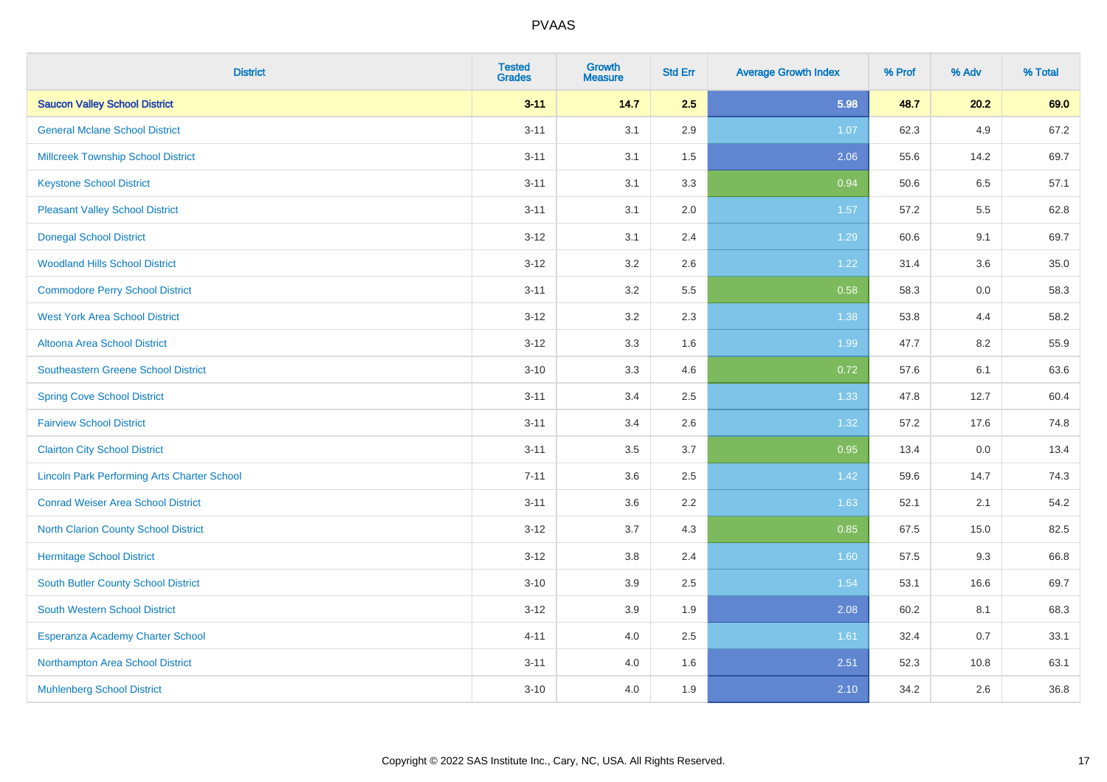| <b>District</b>                                    | <b>Tested</b><br><b>Grades</b> | <b>Growth</b><br><b>Measure</b> | <b>Std Err</b> | <b>Average Growth Index</b> | % Prof | % Adv | % Total |
|----------------------------------------------------|--------------------------------|---------------------------------|----------------|-----------------------------|--------|-------|---------|
| <b>Saucon Valley School District</b>               | $3 - 11$                       | 14.7                            | 2.5            | 5.98                        | 48.7   | 20.2  | 69.0    |
| <b>General Mclane School District</b>              | $3 - 11$                       | 3.1                             | 2.9            | 1.07                        | 62.3   | 4.9   | 67.2    |
| <b>Millcreek Township School District</b>          | $3 - 11$                       | 3.1                             | 1.5            | 2.06                        | 55.6   | 14.2  | 69.7    |
| <b>Keystone School District</b>                    | $3 - 11$                       | 3.1                             | 3.3            | 0.94                        | 50.6   | 6.5   | 57.1    |
| <b>Pleasant Valley School District</b>             | $3 - 11$                       | 3.1                             | 2.0            | 1.57                        | 57.2   | 5.5   | 62.8    |
| <b>Donegal School District</b>                     | $3 - 12$                       | 3.1                             | 2.4            | 1.29                        | 60.6   | 9.1   | 69.7    |
| <b>Woodland Hills School District</b>              | $3 - 12$                       | 3.2                             | 2.6            | 1.22                        | 31.4   | 3.6   | 35.0    |
| <b>Commodore Perry School District</b>             | $3 - 11$                       | 3.2                             | 5.5            | 0.58                        | 58.3   | 0.0   | 58.3    |
| <b>West York Area School District</b>              | $3 - 12$                       | 3.2                             | 2.3            | 1.38                        | 53.8   | 4.4   | 58.2    |
| <b>Altoona Area School District</b>                | $3 - 12$                       | 3.3                             | 1.6            | 1.99                        | 47.7   | 8.2   | 55.9    |
| <b>Southeastern Greene School District</b>         | $3 - 10$                       | 3.3                             | 4.6            | 0.72                        | 57.6   | 6.1   | 63.6    |
| <b>Spring Cove School District</b>                 | $3 - 11$                       | 3.4                             | 2.5            | 1.33                        | 47.8   | 12.7  | 60.4    |
| <b>Fairview School District</b>                    | $3 - 11$                       | 3.4                             | 2.6            | 1.32                        | 57.2   | 17.6  | 74.8    |
| <b>Clairton City School District</b>               | $3 - 11$                       | 3.5                             | 3.7            | 0.95                        | 13.4   | 0.0   | 13.4    |
| <b>Lincoln Park Performing Arts Charter School</b> | $7 - 11$                       | 3.6                             | 2.5            | 1.42                        | 59.6   | 14.7  | 74.3    |
| <b>Conrad Weiser Area School District</b>          | $3 - 11$                       | 3.6                             | 2.2            | 1.63                        | 52.1   | 2.1   | 54.2    |
| <b>North Clarion County School District</b>        | $3 - 12$                       | 3.7                             | 4.3            | 0.85                        | 67.5   | 15.0  | 82.5    |
| <b>Hermitage School District</b>                   | $3 - 12$                       | 3.8                             | 2.4            | 1.60                        | 57.5   | 9.3   | 66.8    |
| South Butler County School District                | $3 - 10$                       | 3.9                             | 2.5            | 1.54                        | 53.1   | 16.6  | 69.7    |
| South Western School District                      | $3 - 12$                       | 3.9                             | 1.9            | 2.08                        | 60.2   | 8.1   | 68.3    |
| Esperanza Academy Charter School                   | $4 - 11$                       | 4.0                             | 2.5            | 1.61                        | 32.4   | 0.7   | 33.1    |
| Northampton Area School District                   | $3 - 11$                       | 4.0                             | 1.6            | 2.51                        | 52.3   | 10.8  | 63.1    |
| <b>Muhlenberg School District</b>                  | $3 - 10$                       | 4.0                             | 1.9            | 2.10                        | 34.2   | 2.6   | 36.8    |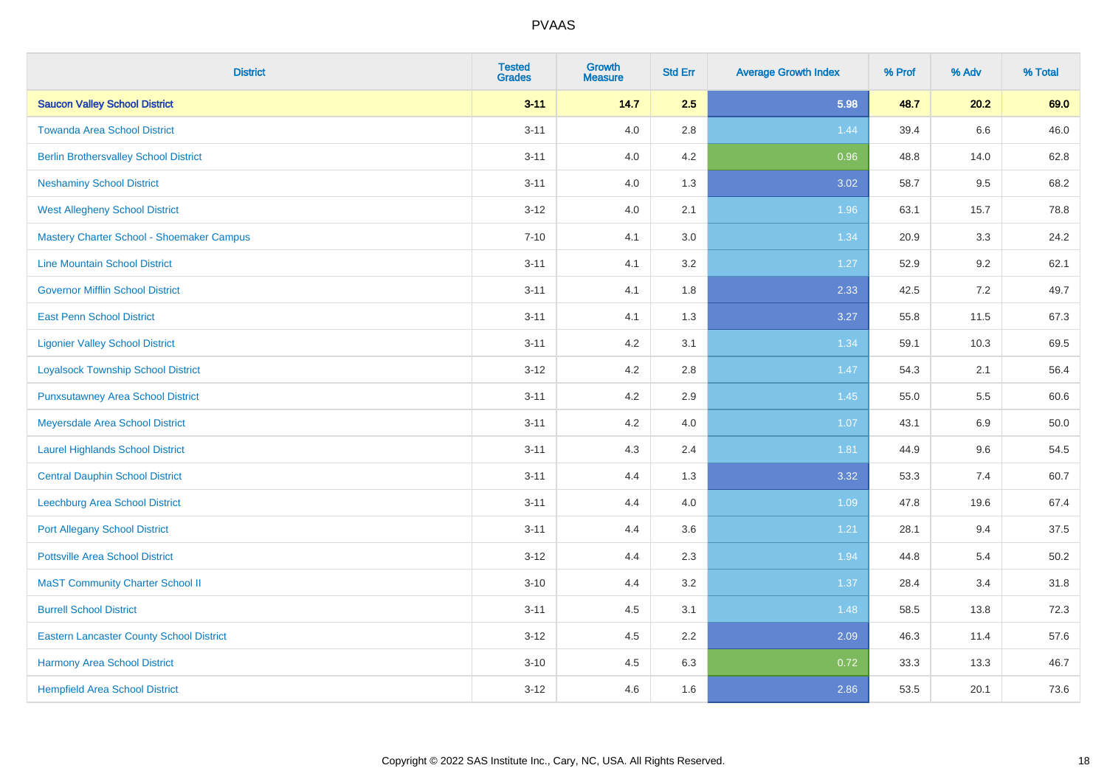| <b>District</b>                                 | <b>Tested</b><br><b>Grades</b> | <b>Growth</b><br><b>Measure</b> | <b>Std Err</b> | <b>Average Growth Index</b> | % Prof | % Adv | % Total |
|-------------------------------------------------|--------------------------------|---------------------------------|----------------|-----------------------------|--------|-------|---------|
| <b>Saucon Valley School District</b>            | $3 - 11$                       | 14.7                            | 2.5            | 5.98                        | 48.7   | 20.2  | 69.0    |
| <b>Towanda Area School District</b>             | $3 - 11$                       | 4.0                             | 2.8            | 1.44                        | 39.4   | 6.6   | 46.0    |
| <b>Berlin Brothersvalley School District</b>    | $3 - 11$                       | 4.0                             | 4.2            | 0.96                        | 48.8   | 14.0  | 62.8    |
| <b>Neshaminy School District</b>                | $3 - 11$                       | 4.0                             | 1.3            | 3.02                        | 58.7   | 9.5   | 68.2    |
| <b>West Allegheny School District</b>           | $3 - 12$                       | 4.0                             | 2.1            | 1.96                        | 63.1   | 15.7  | 78.8    |
| Mastery Charter School - Shoemaker Campus       | $7 - 10$                       | 4.1                             | 3.0            | 1.34                        | 20.9   | 3.3   | 24.2    |
| <b>Line Mountain School District</b>            | $3 - 11$                       | 4.1                             | 3.2            | 1.27                        | 52.9   | 9.2   | 62.1    |
| <b>Governor Mifflin School District</b>         | $3 - 11$                       | 4.1                             | 1.8            | 2.33                        | 42.5   | 7.2   | 49.7    |
| <b>East Penn School District</b>                | $3 - 11$                       | 4.1                             | 1.3            | 3.27                        | 55.8   | 11.5  | 67.3    |
| <b>Ligonier Valley School District</b>          | $3 - 11$                       | 4.2                             | 3.1            | 1.34                        | 59.1   | 10.3  | 69.5    |
| <b>Loyalsock Township School District</b>       | $3 - 12$                       | 4.2                             | 2.8            | 1.47                        | 54.3   | 2.1   | 56.4    |
| <b>Punxsutawney Area School District</b>        | $3 - 11$                       | 4.2                             | 2.9            | 1.45                        | 55.0   | 5.5   | 60.6    |
| Meyersdale Area School District                 | $3 - 11$                       | 4.2                             | 4.0            | 1.07                        | 43.1   | 6.9   | 50.0    |
| <b>Laurel Highlands School District</b>         | $3 - 11$                       | 4.3                             | 2.4            | 1.81                        | 44.9   | 9.6   | 54.5    |
| <b>Central Dauphin School District</b>          | $3 - 11$                       | 4.4                             | 1.3            | 3.32                        | 53.3   | 7.4   | 60.7    |
| Leechburg Area School District                  | $3 - 11$                       | 4.4                             | 4.0            | 1.09                        | 47.8   | 19.6  | 67.4    |
| <b>Port Allegany School District</b>            | $3 - 11$                       | 4.4                             | 3.6            | 1.21                        | 28.1   | 9.4   | 37.5    |
| <b>Pottsville Area School District</b>          | $3 - 12$                       | 4.4                             | 2.3            | 1.94                        | 44.8   | 5.4   | 50.2    |
| <b>MaST Community Charter School II</b>         | $3 - 10$                       | 4.4                             | 3.2            | 1.37                        | 28.4   | 3.4   | 31.8    |
| <b>Burrell School District</b>                  | $3 - 11$                       | 4.5                             | 3.1            | 1.48                        | 58.5   | 13.8  | 72.3    |
| <b>Eastern Lancaster County School District</b> | $3-12$                         | 4.5                             | 2.2            | 2.09                        | 46.3   | 11.4  | 57.6    |
| <b>Harmony Area School District</b>             | $3 - 10$                       | 4.5                             | 6.3            | 0.72                        | 33.3   | 13.3  | 46.7    |
| <b>Hempfield Area School District</b>           | $3 - 12$                       | 4.6                             | 1.6            | 2.86                        | 53.5   | 20.1  | 73.6    |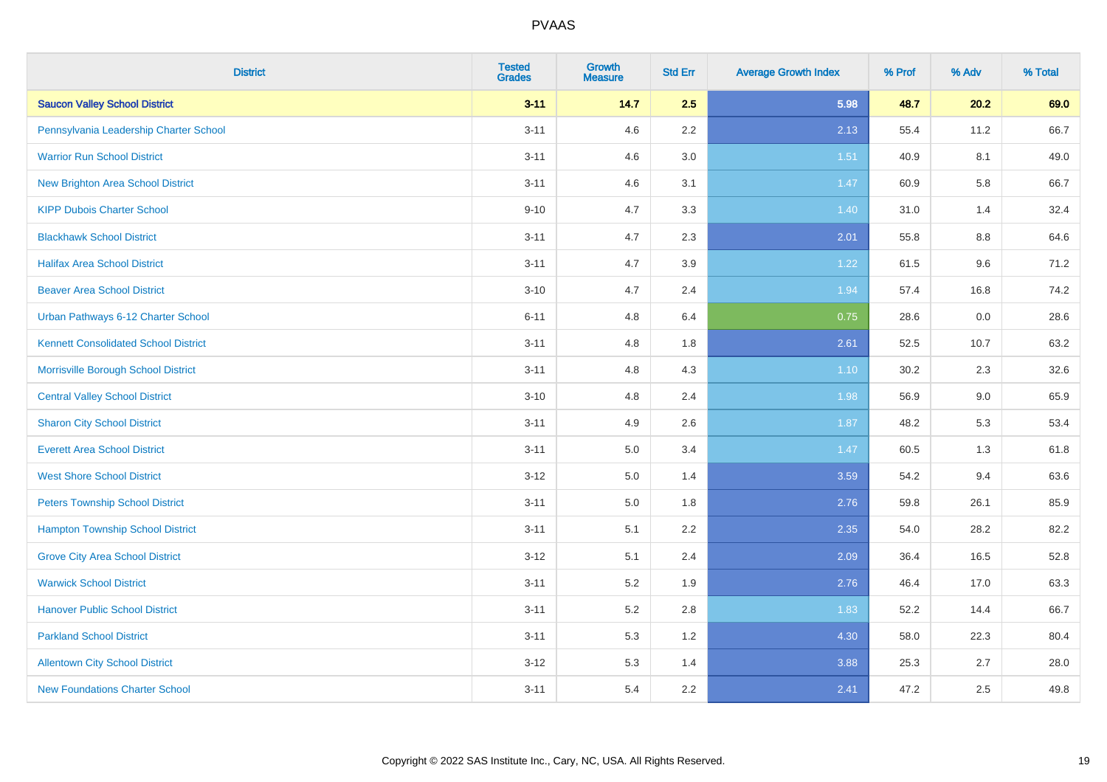| <b>District</b>                             | <b>Tested</b><br><b>Grades</b> | <b>Growth</b><br><b>Measure</b> | <b>Std Err</b> | <b>Average Growth Index</b> | % Prof | % Adv   | % Total |
|---------------------------------------------|--------------------------------|---------------------------------|----------------|-----------------------------|--------|---------|---------|
| <b>Saucon Valley School District</b>        | $3 - 11$                       | 14.7                            | 2.5            | 5.98                        | 48.7   | 20.2    | 69.0    |
| Pennsylvania Leadership Charter School      | $3 - 11$                       | 4.6                             | 2.2            | 2.13                        | 55.4   | 11.2    | 66.7    |
| <b>Warrior Run School District</b>          | $3 - 11$                       | 4.6                             | 3.0            | 1.51                        | 40.9   | 8.1     | 49.0    |
| <b>New Brighton Area School District</b>    | $3 - 11$                       | 4.6                             | 3.1            | 1.47                        | 60.9   | 5.8     | 66.7    |
| <b>KIPP Dubois Charter School</b>           | $9 - 10$                       | 4.7                             | 3.3            | 1.40                        | 31.0   | 1.4     | 32.4    |
| <b>Blackhawk School District</b>            | $3 - 11$                       | 4.7                             | 2.3            | 2.01                        | 55.8   | $8.8\,$ | 64.6    |
| <b>Halifax Area School District</b>         | $3 - 11$                       | 4.7                             | 3.9            | 1.22                        | 61.5   | 9.6     | 71.2    |
| <b>Beaver Area School District</b>          | $3 - 10$                       | 4.7                             | 2.4            | 1.94                        | 57.4   | 16.8    | 74.2    |
| Urban Pathways 6-12 Charter School          | $6 - 11$                       | 4.8                             | 6.4            | 0.75                        | 28.6   | 0.0     | 28.6    |
| <b>Kennett Consolidated School District</b> | $3 - 11$                       | 4.8                             | 1.8            | 2.61                        | 52.5   | 10.7    | 63.2    |
| Morrisville Borough School District         | $3 - 11$                       | 4.8                             | 4.3            | $1.10$                      | 30.2   | 2.3     | 32.6    |
| <b>Central Valley School District</b>       | $3 - 10$                       | 4.8                             | 2.4            | 1.98                        | 56.9   | 9.0     | 65.9    |
| <b>Sharon City School District</b>          | $3 - 11$                       | 4.9                             | 2.6            | 1.87                        | 48.2   | 5.3     | 53.4    |
| <b>Everett Area School District</b>         | $3 - 11$                       | 5.0                             | 3.4            | 1.47                        | 60.5   | 1.3     | 61.8    |
| <b>West Shore School District</b>           | $3 - 12$                       | 5.0                             | 1.4            | 3.59                        | 54.2   | 9.4     | 63.6    |
| <b>Peters Township School District</b>      | $3 - 11$                       | 5.0                             | 1.8            | 2.76                        | 59.8   | 26.1    | 85.9    |
| <b>Hampton Township School District</b>     | $3 - 11$                       | 5.1                             | 2.2            | 2.35                        | 54.0   | 28.2    | 82.2    |
| <b>Grove City Area School District</b>      | $3 - 12$                       | 5.1                             | 2.4            | 2.09                        | 36.4   | 16.5    | 52.8    |
| <b>Warwick School District</b>              | $3 - 11$                       | 5.2                             | 1.9            | 2.76                        | 46.4   | 17.0    | 63.3    |
| <b>Hanover Public School District</b>       | $3 - 11$                       | 5.2                             | 2.8            | 1.83                        | 52.2   | 14.4    | 66.7    |
| <b>Parkland School District</b>             | $3 - 11$                       | 5.3                             | 1.2            | 4.30                        | 58.0   | 22.3    | 80.4    |
| <b>Allentown City School District</b>       | $3 - 12$                       | 5.3                             | 1.4            | 3.88                        | 25.3   | 2.7     | 28.0    |
| <b>New Foundations Charter School</b>       | $3 - 11$                       | 5.4                             | 2.2            | 2.41                        | 47.2   | 2.5     | 49.8    |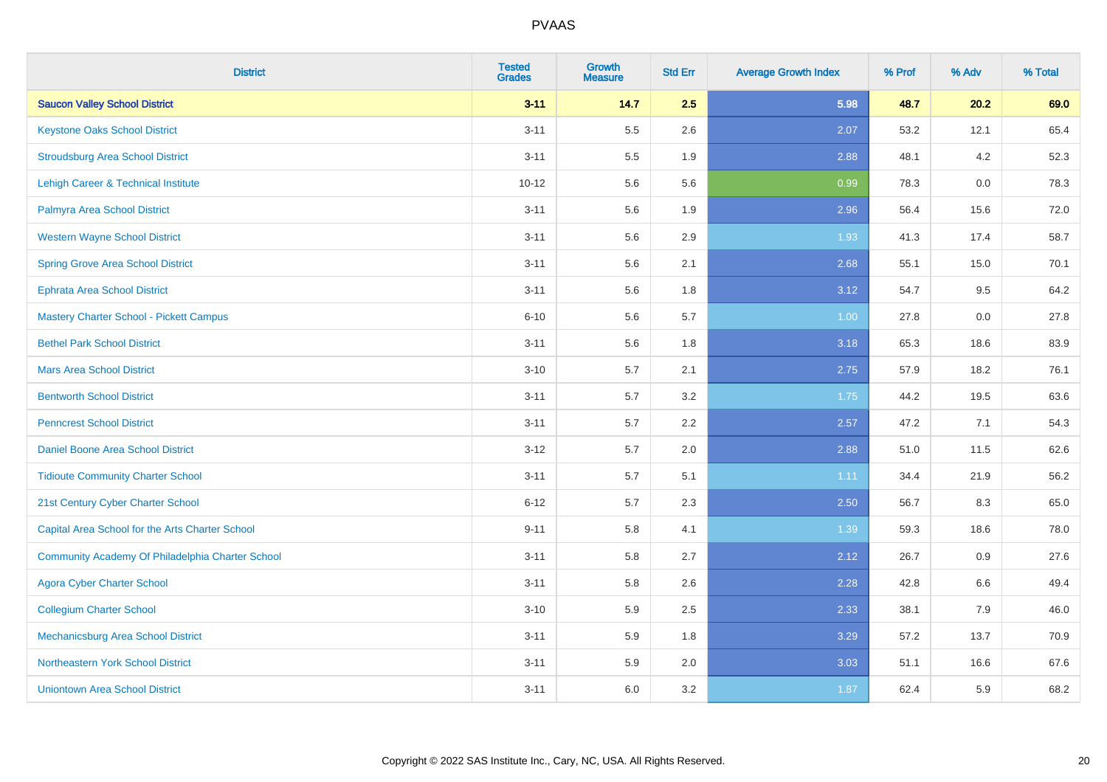| <b>District</b>                                  | <b>Tested</b><br><b>Grades</b> | <b>Growth</b><br><b>Measure</b> | <b>Std Err</b> | <b>Average Growth Index</b> | % Prof | % Adv | % Total |
|--------------------------------------------------|--------------------------------|---------------------------------|----------------|-----------------------------|--------|-------|---------|
| <b>Saucon Valley School District</b>             | $3 - 11$                       | 14.7                            | 2.5            | 5.98                        | 48.7   | 20.2  | 69.0    |
| <b>Keystone Oaks School District</b>             | $3 - 11$                       | 5.5                             | 2.6            | 2.07                        | 53.2   | 12.1  | 65.4    |
| <b>Stroudsburg Area School District</b>          | $3 - 11$                       | 5.5                             | 1.9            | 2.88                        | 48.1   | 4.2   | 52.3    |
| Lehigh Career & Technical Institute              | $10 - 12$                      | 5.6                             | 5.6            | 0.99                        | 78.3   | 0.0   | 78.3    |
| Palmyra Area School District                     | $3 - 11$                       | 5.6                             | 1.9            | 2.96                        | 56.4   | 15.6  | 72.0    |
| <b>Western Wayne School District</b>             | $3 - 11$                       | 5.6                             | 2.9            | 1.93                        | 41.3   | 17.4  | 58.7    |
| <b>Spring Grove Area School District</b>         | $3 - 11$                       | 5.6                             | 2.1            | 2.68                        | 55.1   | 15.0  | 70.1    |
| <b>Ephrata Area School District</b>              | $3 - 11$                       | 5.6                             | 1.8            | 3.12                        | 54.7   | 9.5   | 64.2    |
| <b>Mastery Charter School - Pickett Campus</b>   | $6 - 10$                       | 5.6                             | 5.7            | 1.00                        | 27.8   | 0.0   | 27.8    |
| <b>Bethel Park School District</b>               | $3 - 11$                       | 5.6                             | 1.8            | 3.18                        | 65.3   | 18.6  | 83.9    |
| <b>Mars Area School District</b>                 | $3 - 10$                       | 5.7                             | 2.1            | 2.75                        | 57.9   | 18.2  | 76.1    |
| <b>Bentworth School District</b>                 | $3 - 11$                       | 5.7                             | 3.2            | 1.75                        | 44.2   | 19.5  | 63.6    |
| <b>Penncrest School District</b>                 | $3 - 11$                       | 5.7                             | 2.2            | 2.57                        | 47.2   | 7.1   | 54.3    |
| Daniel Boone Area School District                | $3 - 12$                       | 5.7                             | 2.0            | 2.88                        | 51.0   | 11.5  | 62.6    |
| <b>Tidioute Community Charter School</b>         | $3 - 11$                       | 5.7                             | 5.1            | 1.11                        | 34.4   | 21.9  | 56.2    |
| 21st Century Cyber Charter School                | $6 - 12$                       | 5.7                             | 2.3            | 2.50                        | 56.7   | 8.3   | 65.0    |
| Capital Area School for the Arts Charter School  | $9 - 11$                       | 5.8                             | 4.1            | 1.39                        | 59.3   | 18.6  | 78.0    |
| Community Academy Of Philadelphia Charter School | $3 - 11$                       | 5.8                             | 2.7            | 2.12                        | 26.7   | 0.9   | 27.6    |
| <b>Agora Cyber Charter School</b>                | $3 - 11$                       | 5.8                             | 2.6            | 2.28                        | 42.8   | 6.6   | 49.4    |
| <b>Collegium Charter School</b>                  | $3 - 10$                       | 5.9                             | 2.5            | 2.33                        | 38.1   | 7.9   | 46.0    |
| <b>Mechanicsburg Area School District</b>        | $3 - 11$                       | 5.9                             | 1.8            | 3.29                        | 57.2   | 13.7  | 70.9    |
| Northeastern York School District                | $3 - 11$                       | 5.9                             | 2.0            | 3.03                        | 51.1   | 16.6  | 67.6    |
| <b>Uniontown Area School District</b>            | $3 - 11$                       | 6.0                             | 3.2            | 1.87                        | 62.4   | 5.9   | 68.2    |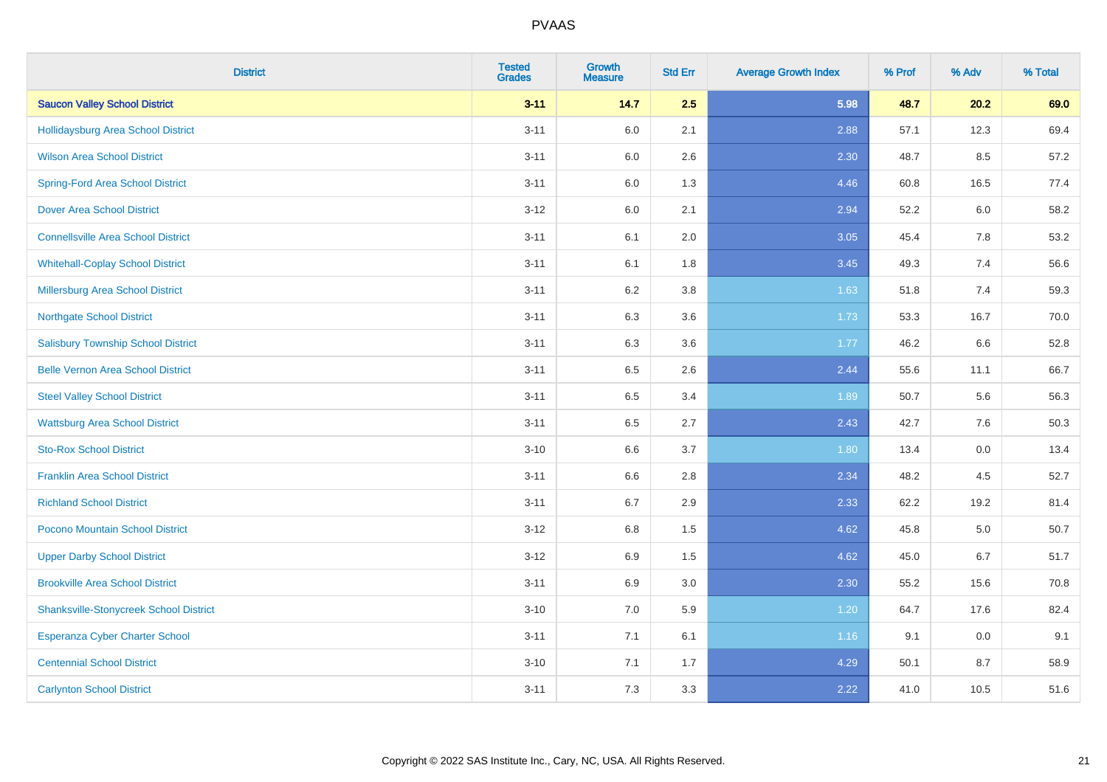| <b>District</b>                               | <b>Tested</b><br><b>Grades</b> | <b>Growth</b><br><b>Measure</b> | <b>Std Err</b> | <b>Average Growth Index</b> | % Prof | % Adv | % Total |
|-----------------------------------------------|--------------------------------|---------------------------------|----------------|-----------------------------|--------|-------|---------|
| <b>Saucon Valley School District</b>          | $3 - 11$                       | 14.7                            | 2.5            | 5.98                        | 48.7   | 20.2  | 69.0    |
| Hollidaysburg Area School District            | $3 - 11$                       | 6.0                             | 2.1            | 2.88                        | 57.1   | 12.3  | 69.4    |
| <b>Wilson Area School District</b>            | $3 - 11$                       | 6.0                             | 2.6            | 2.30                        | 48.7   | 8.5   | 57.2    |
| <b>Spring-Ford Area School District</b>       | $3 - 11$                       | $6.0\,$                         | 1.3            | 4.46                        | 60.8   | 16.5  | 77.4    |
| <b>Dover Area School District</b>             | $3 - 12$                       | 6.0                             | 2.1            | 2.94                        | 52.2   | 6.0   | 58.2    |
| <b>Connellsville Area School District</b>     | $3 - 11$                       | 6.1                             | 2.0            | 3.05                        | 45.4   | 7.8   | 53.2    |
| <b>Whitehall-Coplay School District</b>       | $3 - 11$                       | 6.1                             | 1.8            | 3.45                        | 49.3   | 7.4   | 56.6    |
| <b>Millersburg Area School District</b>       | $3 - 11$                       | 6.2                             | 3.8            | 1.63                        | 51.8   | 7.4   | 59.3    |
| <b>Northgate School District</b>              | $3 - 11$                       | 6.3                             | 3.6            | 1.73                        | 53.3   | 16.7  | 70.0    |
| <b>Salisbury Township School District</b>     | $3 - 11$                       | 6.3                             | 3.6            | 1.77                        | 46.2   | 6.6   | 52.8    |
| <b>Belle Vernon Area School District</b>      | $3 - 11$                       | 6.5                             | 2.6            | 2.44                        | 55.6   | 11.1  | 66.7    |
| <b>Steel Valley School District</b>           | $3 - 11$                       | 6.5                             | 3.4            | 1.89                        | 50.7   | 5.6   | 56.3    |
| <b>Wattsburg Area School District</b>         | $3 - 11$                       | 6.5                             | 2.7            | 2.43                        | 42.7   | 7.6   | 50.3    |
| <b>Sto-Rox School District</b>                | $3 - 10$                       | 6.6                             | 3.7            | 1.80                        | 13.4   | 0.0   | 13.4    |
| <b>Franklin Area School District</b>          | $3 - 11$                       | 6.6                             | 2.8            | 2.34                        | 48.2   | 4.5   | 52.7    |
| <b>Richland School District</b>               | $3 - 11$                       | 6.7                             | 2.9            | 2.33                        | 62.2   | 19.2  | 81.4    |
| Pocono Mountain School District               | $3 - 12$                       | 6.8                             | 1.5            | 4.62                        | 45.8   | 5.0   | 50.7    |
| <b>Upper Darby School District</b>            | $3-12$                         | 6.9                             | 1.5            | 4.62                        | 45.0   | 6.7   | 51.7    |
| <b>Brookville Area School District</b>        | $3 - 11$                       | 6.9                             | 3.0            | 2.30                        | 55.2   | 15.6  | 70.8    |
| <b>Shanksville-Stonycreek School District</b> | $3 - 10$                       | 7.0                             | 5.9            | 1.20                        | 64.7   | 17.6  | 82.4    |
| <b>Esperanza Cyber Charter School</b>         | $3 - 11$                       | 7.1                             | 6.1            | 1.16                        | 9.1    | 0.0   | 9.1     |
| <b>Centennial School District</b>             | $3 - 10$                       | 7.1                             | 1.7            | 4.29                        | 50.1   | 8.7   | 58.9    |
| <b>Carlynton School District</b>              | $3 - 11$                       | 7.3                             | 3.3            | 2.22                        | 41.0   | 10.5  | 51.6    |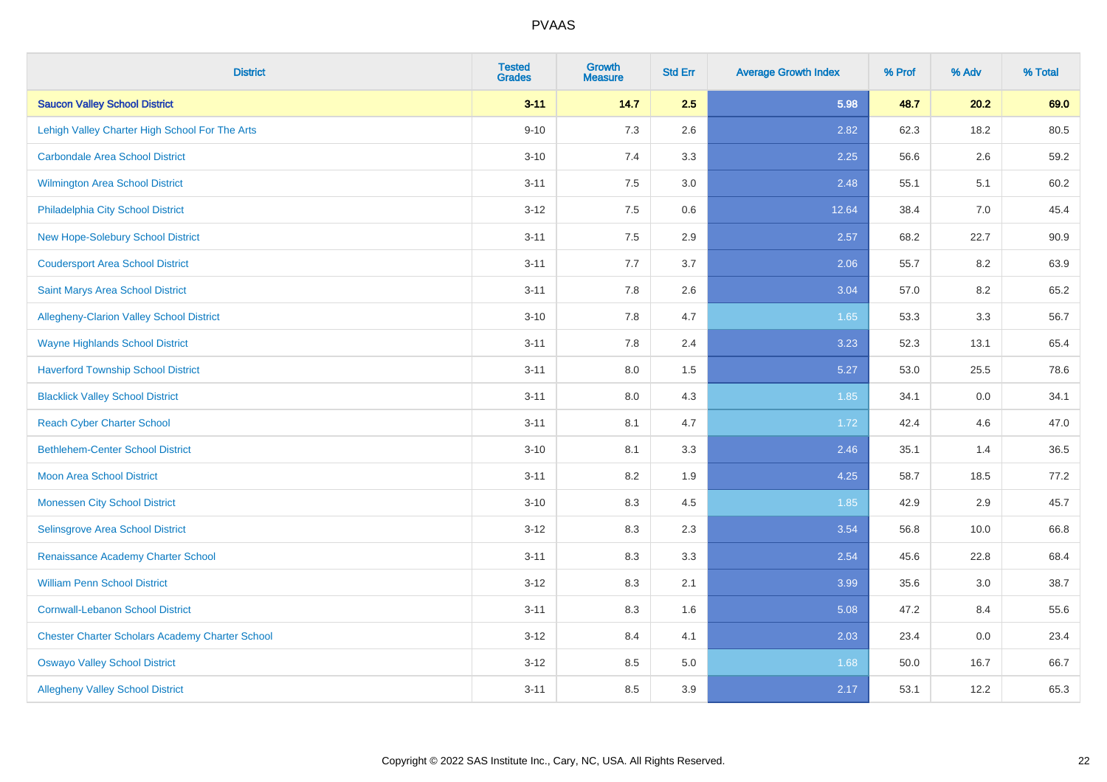| <b>District</b>                                        | <b>Tested</b><br><b>Grades</b> | <b>Growth</b><br><b>Measure</b> | <b>Std Err</b> | <b>Average Growth Index</b> | % Prof | % Adv | % Total |
|--------------------------------------------------------|--------------------------------|---------------------------------|----------------|-----------------------------|--------|-------|---------|
| <b>Saucon Valley School District</b>                   | $3 - 11$                       | 14.7                            | 2.5            | 5.98                        | 48.7   | 20.2  | 69.0    |
| Lehigh Valley Charter High School For The Arts         | $9 - 10$                       | 7.3                             | 2.6            | 2.82                        | 62.3   | 18.2  | 80.5    |
| <b>Carbondale Area School District</b>                 | $3 - 10$                       | 7.4                             | 3.3            | 2.25                        | 56.6   | 2.6   | 59.2    |
| Wilmington Area School District                        | $3 - 11$                       | $7.5\,$                         | 3.0            | 2.48                        | 55.1   | 5.1   | 60.2    |
| Philadelphia City School District                      | $3 - 12$                       | 7.5                             | 0.6            | 12.64                       | 38.4   | 7.0   | 45.4    |
| <b>New Hope-Solebury School District</b>               | $3 - 11$                       | 7.5                             | 2.9            | 2.57                        | 68.2   | 22.7  | 90.9    |
| <b>Coudersport Area School District</b>                | $3 - 11$                       | 7.7                             | 3.7            | 2.06                        | 55.7   | 8.2   | 63.9    |
| Saint Marys Area School District                       | $3 - 11$                       | 7.8                             | 2.6            | 3.04                        | 57.0   | 8.2   | 65.2    |
| Allegheny-Clarion Valley School District               | $3 - 10$                       | 7.8                             | 4.7            | 1.65                        | 53.3   | 3.3   | 56.7    |
| <b>Wayne Highlands School District</b>                 | $3 - 11$                       | 7.8                             | 2.4            | 3.23                        | 52.3   | 13.1  | 65.4    |
| <b>Haverford Township School District</b>              | $3 - 11$                       | 8.0                             | 1.5            | 5.27                        | 53.0   | 25.5  | 78.6    |
| <b>Blacklick Valley School District</b>                | $3 - 11$                       | 8.0                             | 4.3            | 1.85                        | 34.1   | 0.0   | 34.1    |
| <b>Reach Cyber Charter School</b>                      | $3 - 11$                       | 8.1                             | 4.7            | 1.72                        | 42.4   | 4.6   | 47.0    |
| <b>Bethlehem-Center School District</b>                | $3 - 10$                       | 8.1                             | 3.3            | 2.46                        | 35.1   | 1.4   | 36.5    |
| <b>Moon Area School District</b>                       | $3 - 11$                       | 8.2                             | 1.9            | 4.25                        | 58.7   | 18.5  | 77.2    |
| <b>Monessen City School District</b>                   | $3 - 10$                       | 8.3                             | 4.5            | 1.85                        | 42.9   | 2.9   | 45.7    |
| Selinsgrove Area School District                       | $3 - 12$                       | 8.3                             | 2.3            | 3.54                        | 56.8   | 10.0  | 66.8    |
| Renaissance Academy Charter School                     | $3 - 11$                       | 8.3                             | 3.3            | 2.54                        | 45.6   | 22.8  | 68.4    |
| <b>William Penn School District</b>                    | $3 - 12$                       | 8.3                             | 2.1            | 3.99                        | 35.6   | 3.0   | 38.7    |
| <b>Cornwall-Lebanon School District</b>                | $3 - 11$                       | 8.3                             | 1.6            | 5.08                        | 47.2   | 8.4   | 55.6    |
| <b>Chester Charter Scholars Academy Charter School</b> | $3 - 12$                       | 8.4                             | 4.1            | 2.03                        | 23.4   | 0.0   | 23.4    |
| <b>Oswayo Valley School District</b>                   | $3 - 12$                       | 8.5                             | 5.0            | 1.68                        | 50.0   | 16.7  | 66.7    |
| <b>Allegheny Valley School District</b>                | $3 - 11$                       | 8.5                             | 3.9            | 2.17                        | 53.1   | 12.2  | 65.3    |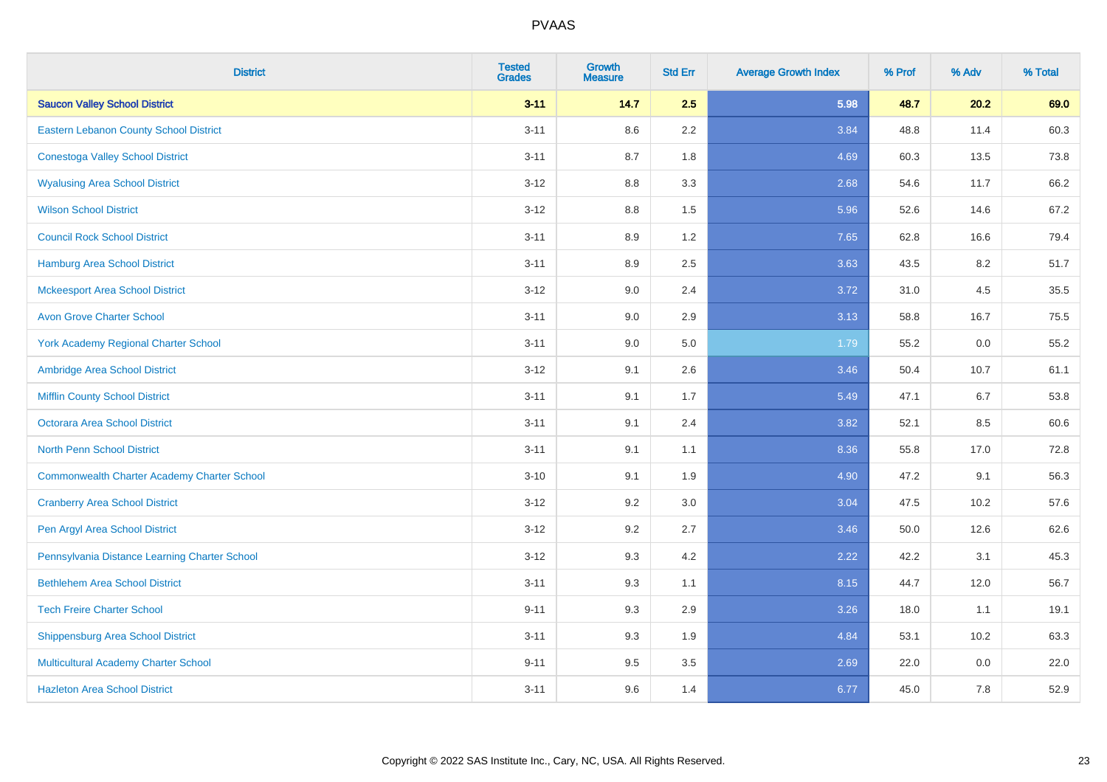| <b>District</b>                                    | <b>Tested</b><br><b>Grades</b> | <b>Growth</b><br><b>Measure</b> | <b>Std Err</b> | <b>Average Growth Index</b> | % Prof | % Adv | % Total |
|----------------------------------------------------|--------------------------------|---------------------------------|----------------|-----------------------------|--------|-------|---------|
| <b>Saucon Valley School District</b>               | $3 - 11$                       | 14.7                            | 2.5            | 5.98                        | 48.7   | 20.2  | 69.0    |
| Eastern Lebanon County School District             | $3 - 11$                       | 8.6                             | 2.2            | 3.84                        | 48.8   | 11.4  | 60.3    |
| <b>Conestoga Valley School District</b>            | $3 - 11$                       | 8.7                             | 1.8            | 4.69                        | 60.3   | 13.5  | 73.8    |
| <b>Wyalusing Area School District</b>              | $3-12$                         | 8.8                             | 3.3            | 2.68                        | 54.6   | 11.7  | 66.2    |
| <b>Wilson School District</b>                      | $3 - 12$                       | 8.8                             | 1.5            | 5.96                        | 52.6   | 14.6  | 67.2    |
| <b>Council Rock School District</b>                | $3 - 11$                       | 8.9                             | 1.2            | 7.65                        | 62.8   | 16.6  | 79.4    |
| <b>Hamburg Area School District</b>                | $3 - 11$                       | 8.9                             | 2.5            | 3.63                        | 43.5   | 8.2   | 51.7    |
| <b>Mckeesport Area School District</b>             | $3 - 12$                       | 9.0                             | 2.4            | 3.72                        | 31.0   | 4.5   | 35.5    |
| <b>Avon Grove Charter School</b>                   | $3 - 11$                       | 9.0                             | 2.9            | 3.13                        | 58.8   | 16.7  | 75.5    |
| <b>York Academy Regional Charter School</b>        | $3 - 11$                       | 9.0                             | 5.0            | 1.79                        | 55.2   | 0.0   | 55.2    |
| Ambridge Area School District                      | $3 - 12$                       | 9.1                             | 2.6            | 3.46                        | 50.4   | 10.7  | 61.1    |
| <b>Mifflin County School District</b>              | $3 - 11$                       | 9.1                             | 1.7            | 5.49                        | 47.1   | 6.7   | 53.8    |
| Octorara Area School District                      | $3 - 11$                       | 9.1                             | 2.4            | 3.82                        | 52.1   | 8.5   | 60.6    |
| <b>North Penn School District</b>                  | $3 - 11$                       | 9.1                             | 1.1            | 8.36                        | 55.8   | 17.0  | 72.8    |
| <b>Commonwealth Charter Academy Charter School</b> | $3 - 10$                       | 9.1                             | 1.9            | 4.90                        | 47.2   | 9.1   | 56.3    |
| <b>Cranberry Area School District</b>              | $3 - 12$                       | 9.2                             | 3.0            | 3.04                        | 47.5   | 10.2  | 57.6    |
| Pen Argyl Area School District                     | $3 - 12$                       | 9.2                             | 2.7            | 3.46                        | 50.0   | 12.6  | 62.6    |
| Pennsylvania Distance Learning Charter School      | $3 - 12$                       | 9.3                             | 4.2            | 2.22                        | 42.2   | 3.1   | 45.3    |
| <b>Bethlehem Area School District</b>              | $3 - 11$                       | 9.3                             | 1.1            | 8.15                        | 44.7   | 12.0  | 56.7    |
| <b>Tech Freire Charter School</b>                  | $9 - 11$                       | 9.3                             | 2.9            | 3.26                        | 18.0   | 1.1   | 19.1    |
| <b>Shippensburg Area School District</b>           | $3 - 11$                       | 9.3                             | 1.9            | 4.84                        | 53.1   | 10.2  | 63.3    |
| <b>Multicultural Academy Charter School</b>        | $9 - 11$                       | 9.5                             | 3.5            | 2.69                        | 22.0   | 0.0   | 22.0    |
| <b>Hazleton Area School District</b>               | $3 - 11$                       | 9.6                             | 1.4            | 6.77                        | 45.0   | 7.8   | 52.9    |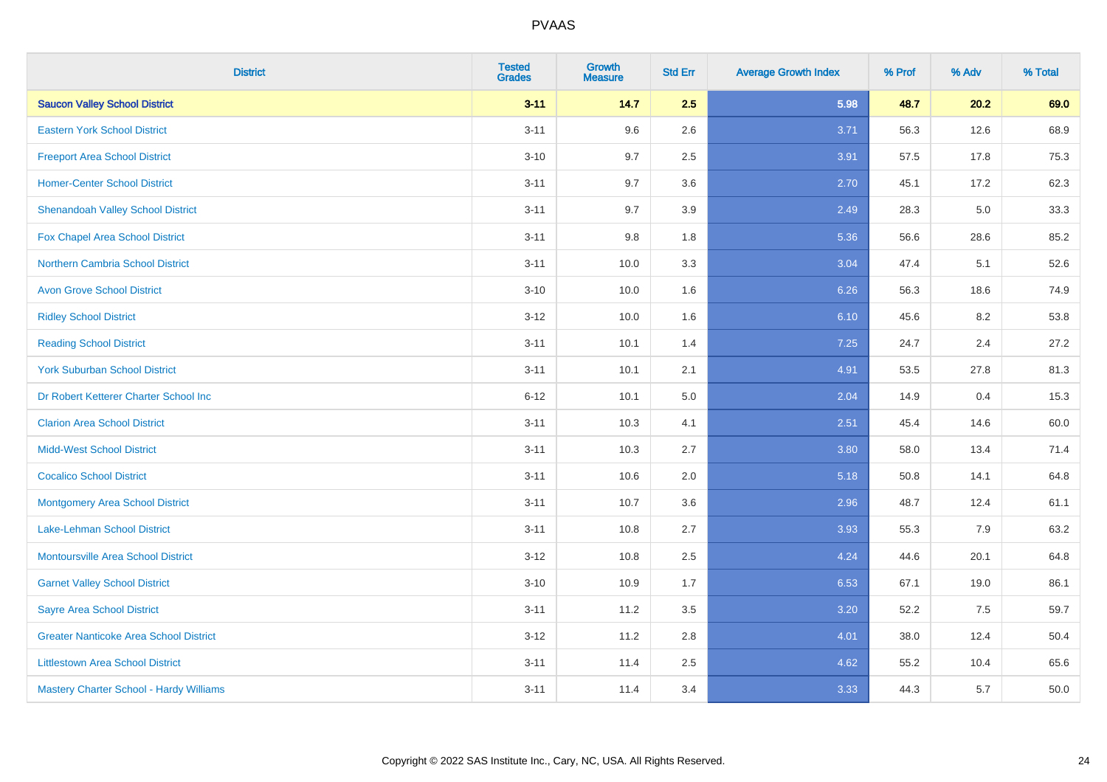| <b>District</b>                               | <b>Tested</b><br><b>Grades</b> | <b>Growth</b><br><b>Measure</b> | <b>Std Err</b> | <b>Average Growth Index</b> | % Prof | % Adv | % Total |
|-----------------------------------------------|--------------------------------|---------------------------------|----------------|-----------------------------|--------|-------|---------|
| <b>Saucon Valley School District</b>          | $3 - 11$                       | 14.7                            | 2.5            | 5.98                        | 48.7   | 20.2  | 69.0    |
| <b>Eastern York School District</b>           | $3 - 11$                       | 9.6                             | 2.6            | 3.71                        | 56.3   | 12.6  | 68.9    |
| <b>Freeport Area School District</b>          | $3 - 10$                       | 9.7                             | 2.5            | 3.91                        | 57.5   | 17.8  | 75.3    |
| <b>Homer-Center School District</b>           | $3 - 11$                       | 9.7                             | 3.6            | 2.70                        | 45.1   | 17.2  | 62.3    |
| <b>Shenandoah Valley School District</b>      | $3 - 11$                       | 9.7                             | 3.9            | 2.49                        | 28.3   | 5.0   | 33.3    |
| Fox Chapel Area School District               | $3 - 11$                       | 9.8                             | 1.8            | 5.36                        | 56.6   | 28.6  | 85.2    |
| <b>Northern Cambria School District</b>       | $3 - 11$                       | 10.0                            | 3.3            | 3.04                        | 47.4   | 5.1   | 52.6    |
| <b>Avon Grove School District</b>             | $3 - 10$                       | 10.0                            | 1.6            | 6.26                        | 56.3   | 18.6  | 74.9    |
| <b>Ridley School District</b>                 | $3 - 12$                       | 10.0                            | 1.6            | 6.10                        | 45.6   | 8.2   | 53.8    |
| <b>Reading School District</b>                | $3 - 11$                       | 10.1                            | 1.4            | 7.25                        | 24.7   | 2.4   | 27.2    |
| <b>York Suburban School District</b>          | $3 - 11$                       | 10.1                            | 2.1            | 4.91                        | 53.5   | 27.8  | 81.3    |
| Dr Robert Ketterer Charter School Inc         | $6 - 12$                       | 10.1                            | 5.0            | 2.04                        | 14.9   | 0.4   | 15.3    |
| <b>Clarion Area School District</b>           | $3 - 11$                       | 10.3                            | 4.1            | 2.51                        | 45.4   | 14.6  | 60.0    |
| <b>Midd-West School District</b>              | $3 - 11$                       | 10.3                            | 2.7            | 3.80                        | 58.0   | 13.4  | 71.4    |
| <b>Cocalico School District</b>               | $3 - 11$                       | 10.6                            | 2.0            | 5.18                        | 50.8   | 14.1  | 64.8    |
| <b>Montgomery Area School District</b>        | $3 - 11$                       | 10.7                            | 3.6            | 2.96                        | 48.7   | 12.4  | 61.1    |
| Lake-Lehman School District                   | $3 - 11$                       | 10.8                            | 2.7            | 3.93                        | 55.3   | 7.9   | 63.2    |
| Montoursville Area School District            | $3 - 12$                       | 10.8                            | 2.5            | 4.24                        | 44.6   | 20.1  | 64.8    |
| <b>Garnet Valley School District</b>          | $3 - 10$                       | 10.9                            | 1.7            | 6.53                        | 67.1   | 19.0  | 86.1    |
| <b>Sayre Area School District</b>             | $3 - 11$                       | 11.2                            | 3.5            | 3.20                        | 52.2   | 7.5   | 59.7    |
| <b>Greater Nanticoke Area School District</b> | $3 - 12$                       | 11.2                            | 2.8            | 4.01                        | 38.0   | 12.4  | 50.4    |
| <b>Littlestown Area School District</b>       | $3 - 11$                       | 11.4                            | 2.5            | 4.62                        | 55.2   | 10.4  | 65.6    |
| Mastery Charter School - Hardy Williams       | $3 - 11$                       | 11.4                            | 3.4            | 3.33                        | 44.3   | 5.7   | 50.0    |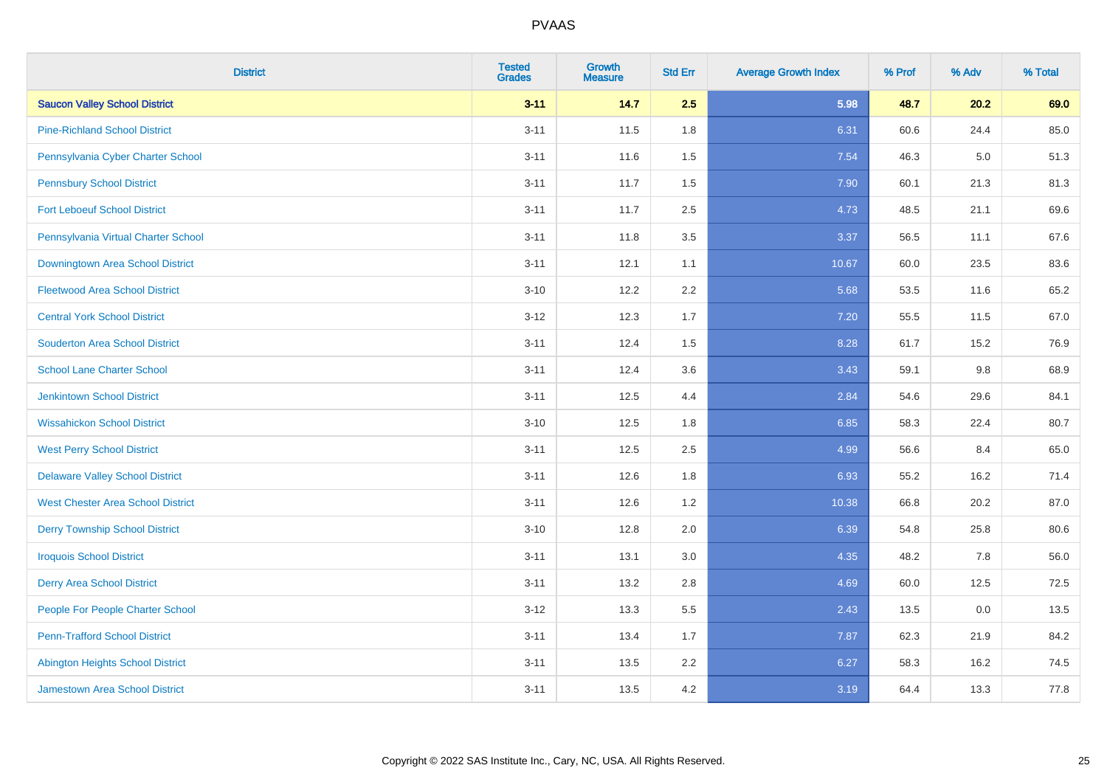| <b>District</b>                          | <b>Tested</b><br><b>Grades</b> | <b>Growth</b><br><b>Measure</b> | <b>Std Err</b> | <b>Average Growth Index</b> | % Prof | % Adv | % Total |
|------------------------------------------|--------------------------------|---------------------------------|----------------|-----------------------------|--------|-------|---------|
| <b>Saucon Valley School District</b>     | $3 - 11$                       | 14.7                            | 2.5            | 5.98                        | 48.7   | 20.2  | 69.0    |
| <b>Pine-Richland School District</b>     | $3 - 11$                       | 11.5                            | 1.8            | 6.31                        | 60.6   | 24.4  | 85.0    |
| Pennsylvania Cyber Charter School        | $3 - 11$                       | 11.6                            | 1.5            | 7.54                        | 46.3   | 5.0   | 51.3    |
| <b>Pennsbury School District</b>         | $3 - 11$                       | 11.7                            | 1.5            | 7.90                        | 60.1   | 21.3  | 81.3    |
| <b>Fort Leboeuf School District</b>      | $3 - 11$                       | 11.7                            | 2.5            | 4.73                        | 48.5   | 21.1  | 69.6    |
| Pennsylvania Virtual Charter School      | $3 - 11$                       | 11.8                            | 3.5            | 3.37                        | 56.5   | 11.1  | 67.6    |
| Downingtown Area School District         | $3 - 11$                       | 12.1                            | 1.1            | 10.67                       | 60.0   | 23.5  | 83.6    |
| <b>Fleetwood Area School District</b>    | $3 - 10$                       | 12.2                            | 2.2            | 5.68                        | 53.5   | 11.6  | 65.2    |
| <b>Central York School District</b>      | $3 - 12$                       | 12.3                            | 1.7            | 7.20                        | 55.5   | 11.5  | 67.0    |
| <b>Souderton Area School District</b>    | $3 - 11$                       | 12.4                            | 1.5            | 8.28                        | 61.7   | 15.2  | 76.9    |
| <b>School Lane Charter School</b>        | $3 - 11$                       | 12.4                            | 3.6            | 3.43                        | 59.1   | 9.8   | 68.9    |
| <b>Jenkintown School District</b>        | $3 - 11$                       | 12.5                            | 4.4            | 2.84                        | 54.6   | 29.6  | 84.1    |
| <b>Wissahickon School District</b>       | $3 - 10$                       | 12.5                            | 1.8            | 6.85                        | 58.3   | 22.4  | 80.7    |
| <b>West Perry School District</b>        | $3 - 11$                       | 12.5                            | 2.5            | 4.99                        | 56.6   | 8.4   | 65.0    |
| <b>Delaware Valley School District</b>   | $3 - 11$                       | 12.6                            | 1.8            | 6.93                        | 55.2   | 16.2  | 71.4    |
| <b>West Chester Area School District</b> | $3 - 11$                       | 12.6                            | 1.2            | 10.38                       | 66.8   | 20.2  | 87.0    |
| <b>Derry Township School District</b>    | $3 - 10$                       | 12.8                            | 2.0            | 6.39                        | 54.8   | 25.8  | 80.6    |
| <b>Iroquois School District</b>          | $3 - 11$                       | 13.1                            | 3.0            | 4.35                        | 48.2   | 7.8   | 56.0    |
| <b>Derry Area School District</b>        | $3 - 11$                       | 13.2                            | 2.8            | 4.69                        | 60.0   | 12.5  | 72.5    |
| People For People Charter School         | $3 - 12$                       | 13.3                            | 5.5            | 2.43                        | 13.5   | 0.0   | 13.5    |
| <b>Penn-Trafford School District</b>     | $3 - 11$                       | 13.4                            | 1.7            | 7.87                        | 62.3   | 21.9  | 84.2    |
| <b>Abington Heights School District</b>  | $3 - 11$                       | 13.5                            | 2.2            | 6.27                        | 58.3   | 16.2  | 74.5    |
| <b>Jamestown Area School District</b>    | $3 - 11$                       | 13.5                            | 4.2            | 3.19                        | 64.4   | 13.3  | 77.8    |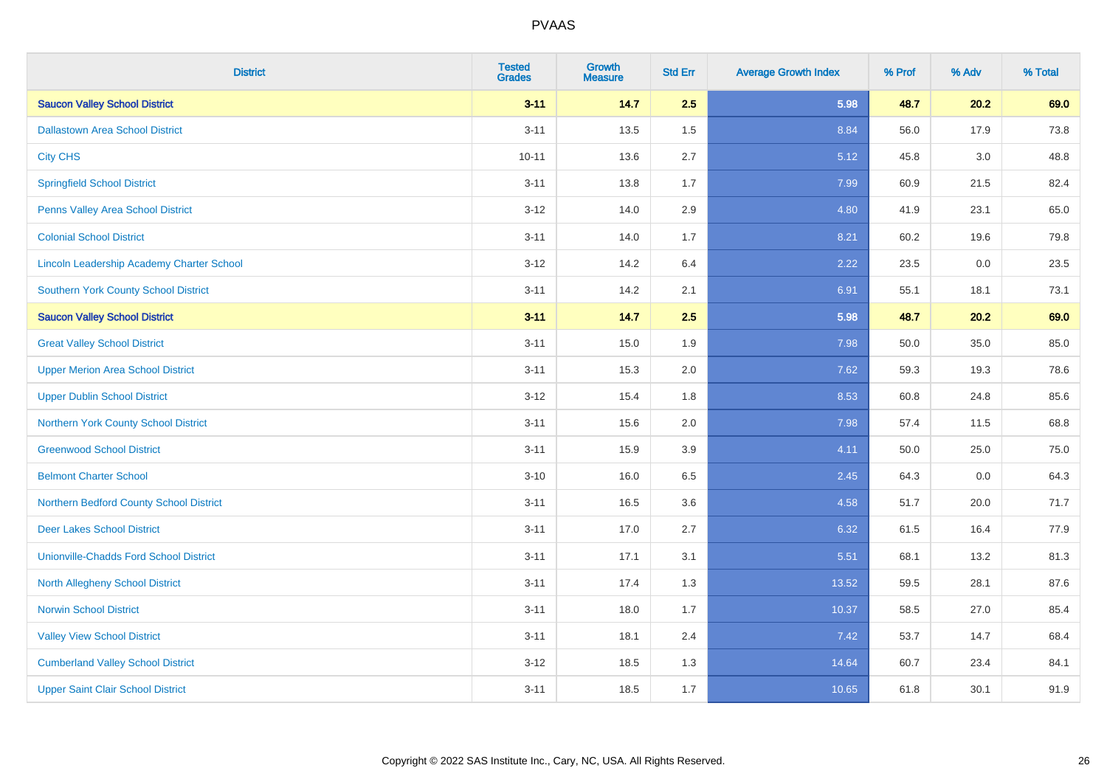| <b>District</b>                                  | <b>Tested</b><br><b>Grades</b> | <b>Growth</b><br><b>Measure</b> | <b>Std Err</b> | <b>Average Growth Index</b> | % Prof | % Adv | % Total |
|--------------------------------------------------|--------------------------------|---------------------------------|----------------|-----------------------------|--------|-------|---------|
| <b>Saucon Valley School District</b>             | $3 - 11$                       | 14.7                            | 2.5            | 5.98                        | 48.7   | 20.2  | 69.0    |
| <b>Dallastown Area School District</b>           | $3 - 11$                       | 13.5                            | 1.5            | 8.84                        | 56.0   | 17.9  | 73.8    |
| <b>City CHS</b>                                  | $10 - 11$                      | 13.6                            | 2.7            | 5.12                        | 45.8   | 3.0   | 48.8    |
| <b>Springfield School District</b>               | $3 - 11$                       | 13.8                            | 1.7            | 7.99                        | 60.9   | 21.5  | 82.4    |
| Penns Valley Area School District                | $3 - 12$                       | 14.0                            | 2.9            | 4.80                        | 41.9   | 23.1  | 65.0    |
| <b>Colonial School District</b>                  | $3 - 11$                       | 14.0                            | 1.7            | 8.21                        | 60.2   | 19.6  | 79.8    |
| <b>Lincoln Leadership Academy Charter School</b> | $3 - 12$                       | 14.2                            | 6.4            | 2.22                        | 23.5   | 0.0   | 23.5    |
| <b>Southern York County School District</b>      | $3 - 11$                       | 14.2                            | 2.1            | 6.91                        | 55.1   | 18.1  | 73.1    |
| <b>Saucon Valley School District</b>             | $3 - 11$                       | 14.7                            | 2.5            | 5.98                        | 48.7   | 20.2  | 69.0    |
| <b>Great Valley School District</b>              | $3 - 11$                       | 15.0                            | $1.9$          | 7.98                        | 50.0   | 35.0  | 85.0    |
| <b>Upper Merion Area School District</b>         | $3 - 11$                       | 15.3                            | 2.0            | 7.62                        | 59.3   | 19.3  | 78.6    |
| <b>Upper Dublin School District</b>              | $3 - 12$                       | 15.4                            | 1.8            | 8.53                        | 60.8   | 24.8  | 85.6    |
| Northern York County School District             | $3 - 11$                       | 15.6                            | 2.0            | 7.98                        | 57.4   | 11.5  | 68.8    |
| <b>Greenwood School District</b>                 | $3 - 11$                       | 15.9                            | 3.9            | 4.11                        | 50.0   | 25.0  | 75.0    |
| <b>Belmont Charter School</b>                    | $3 - 10$                       | 16.0                            | 6.5            | 2.45                        | 64.3   | 0.0   | 64.3    |
| Northern Bedford County School District          | $3 - 11$                       | 16.5                            | 3.6            | 4.58                        | 51.7   | 20.0  | 71.7    |
| <b>Deer Lakes School District</b>                | $3 - 11$                       | 17.0                            | 2.7            | 6.32                        | 61.5   | 16.4  | 77.9    |
| <b>Unionville-Chadds Ford School District</b>    | $3 - 11$                       | 17.1                            | 3.1            | 5.51                        | 68.1   | 13.2  | 81.3    |
| <b>North Allegheny School District</b>           | $3 - 11$                       | 17.4                            | 1.3            | 13.52                       | 59.5   | 28.1  | 87.6    |
| <b>Norwin School District</b>                    | $3 - 11$                       | 18.0                            | 1.7            | 10.37                       | 58.5   | 27.0  | 85.4    |
| <b>Valley View School District</b>               | $3 - 11$                       | 18.1                            | 2.4            | 7.42                        | 53.7   | 14.7  | 68.4    |
| <b>Cumberland Valley School District</b>         | $3 - 12$                       | 18.5                            | 1.3            | 14.64                       | 60.7   | 23.4  | 84.1    |
| <b>Upper Saint Clair School District</b>         | $3 - 11$                       | 18.5                            | 1.7            | 10.65                       | 61.8   | 30.1  | 91.9    |